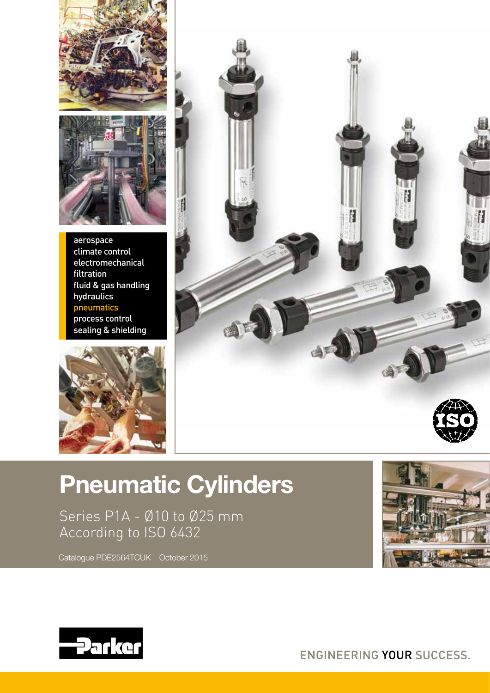



aerospace climate control electromechanical filtration fluid & gas handling hydraulics pneumatics process control sealing & shielding





# Pneumatic Cylinders

Series P1A - Ø10 to Ø25 mm According to ISO 6432



Catalogue PDE2564TCUK October 2015



ENGINEERING YOUR SUCCESS.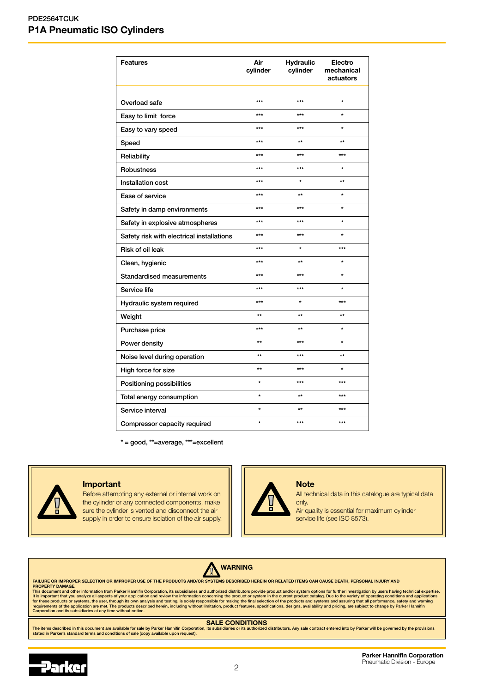| <b>Features</b>                           | Air<br>cylinder | <b>Hydraulic</b><br>cylinder | Electro<br>mechanical<br>actuators |
|-------------------------------------------|-----------------|------------------------------|------------------------------------|
| Overload safe                             | $***$           | $***$                        | $\star$                            |
| Easy to limit force                       | $***$           | $***$                        | $\star$                            |
| Easy to vary speed                        | $***$           | $***$                        | ÷                                  |
| Speed                                     | $***$           | $\star\star$                 | $\star\star$                       |
| Reliability                               | ***             | ***                          | $***$                              |
| Robustness                                | $***$           | $***$                        | $\star$                            |
| Installation cost                         | $***$           | $\star$                      | $\star\star$                       |
| Ease of service                           | $***$           | $\star\star$                 | $\star$                            |
| Safety in damp environments               | $***$           | $***$                        | $\star$                            |
| Safety in explosive atmospheres           | ***             | ***                          | $\ddot{\phantom{0}}$               |
| Safety risk with electrical installations | $***$           | $***$                        | $\star$                            |
| <b>Risk of oil leak</b>                   | ***             | $\star$                      | $***$                              |
| Clean, hygienic                           | $***$           | $\star\star$                 | $\star$                            |
| Standardised measurements                 | $***$           | $***$                        | $\star$                            |
| Service life                              | ***             | $***$                        | $\star$                            |
| Hydraulic system required                 | $***$           | $\star$                      | $***$                              |
| Weight                                    | $\star\star$    | $\star\star$                 | $\star\star$                       |
| Purchase price                            | $***$           | $\star\star$                 | $\star$                            |
| Power density                             | $\star\star$    | $***$                        | $\star$                            |
| Noise level during operation              | $\star\star$    | $***$                        | $\star\star$                       |
| High force for size                       | $\star\star$    | $***$                        | $\star$                            |
| Positioning possibilities                 | $\star$         | $***$                        | $***$                              |
| Total energy consumption                  | $\star$         | $\star\star$                 | $***$                              |
| Service interval                          | $\star$         | $\star\star$                 | $***$                              |
| Compressor capacity required              | $\star$         | $***$                        | $***$                              |

\* = good, \*\*=average, \*\*\*=excellent



#### Important

Before attempting any external or internal work on the cylinder or any connected components, make sure the cylinder is vented and disconnect the air supply in order to ensure isolation of the air supply.

## **Note**

All technical data in this catalogue are typical data only.

Air quality is essential for maximum cylinder service life (see ISO 8573).



#### $\triangle$ WARNING

FAILURE OR IMPROPER SELECTION OR IMPROPER USE OF THE PRODUCTS AND/OR SYSTEMS DESCRIBED HEREIN OR RELATED ITEMS CAN CAUSE DEATH, PERSONAL INJURY AND

PROPERTY DAMAGE.<br>This document and other information from Parker Hannifin Corporation, its subsidiaries and authorized distributors provide product and/or system options for further investigation by users having technical

The items described in this document are available for sale by Parker Hannifin Corporation, its subsidiaries or its authorized distributors. Any sale contract entered into by Parker will be governed by the provisions<br>state

## **SALE CONDITIONS**<br>, its subsidiaries or its authorized distributors. Any sale contract entered into by Parker will be governed by the prov

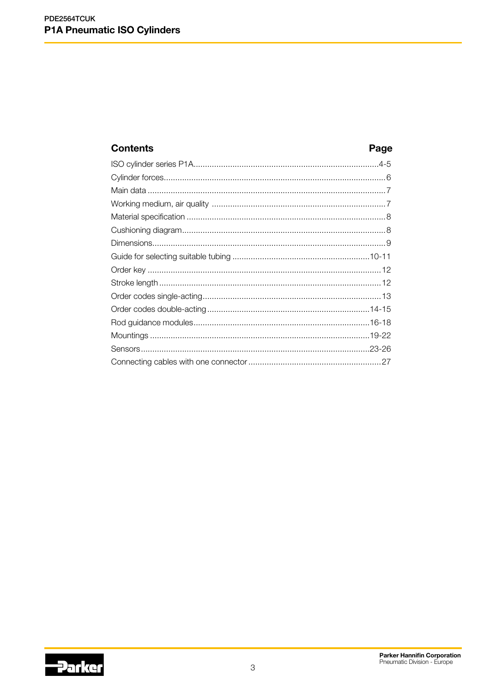## **Contents**

## Page

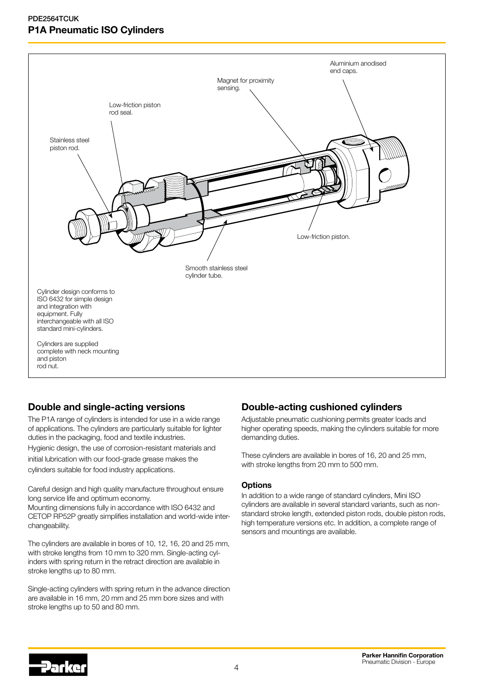

## Double and single-acting versions

The P1A range of cylinders is intended for use in a wide range of applications. The cylinders are particularly suitable for lighter duties in the packaging, food and textile industries.

Hygienic design, the use of corrosion-resistant materials and initial lubrication with our food-grade grease makes the cylinders suitable for food industry applications.

Careful design and high quality manufacture throughout ensure long service life and optimum economy.

Mounting dimensions fully in accordance with ISO 6432 and CETOP RP52P greatly simplifies installation and world-wide interchangeability.

The cylinders are available in bores of 10, 12, 16, 20 and 25 mm, with stroke lengths from 10 mm to 320 mm. Single-acting cylinders with spring return in the retract direction are available in stroke lengths up to 80 mm.

Single-acting cylinders with spring return in the advance direction are available in 16 mm, 20 mm and 25 mm bore sizes and with stroke lengths up to 50 and 80 mm.

## Double-acting cushioned cylinders

Adjustable pneumatic cushioning permits greater loads and higher operating speeds, making the cylinders suitable for more demanding duties.

These cylinders are available in bores of 16, 20 and 25 mm, with stroke lengths from 20 mm to 500 mm.

#### **Options**

In addition to a wide range of standard cylinders, Mini ISO cylinders are available in several standard variants, such as nonstandard stroke length, extended piston rods, double piston rods, high temperature versions etc. In addition, a complete range of sensors and mountings are available.

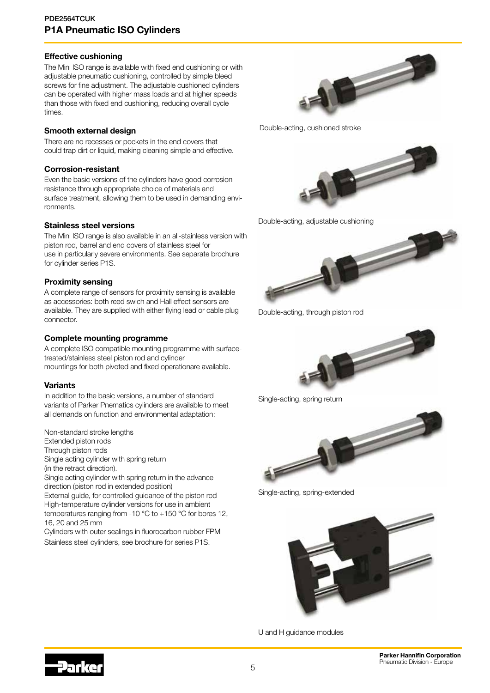#### Effective cushioning

The Mini ISO range is available with fixed end cushioning or with adjustable pneumatic cushioning, controlled by simple bleed screws for fine adjustment. The adjustable cushioned cylinders can be operated with higher mass loads and at higher speeds than those with fixed end cushioning, reducing overall cycle times.

#### Smooth external design

There are no recesses or pockets in the end covers that could trap dirt or liquid, making cleaning simple and effective.

### Corrosion-resistant

Even the basic versions of the cylinders have good corrosion resistance through appropriate choice of materials and surface treatment, allowing them to be used in demanding environments.

#### Stainless steel versions

The Mini ISO range is also available in an all-stainless version with piston rod, barrel and end covers of stainless steel for use in particularly severe environments. See separate brochure for cylinder series P1S.

### Proximity sensing

A complete range of sensors for proximity sensing is available as accessories: both reed swich and Hall effect sensors are available. They are supplied with either flying lead or cable plug connector.

### Complete mounting programme

A complete ISO compatible mounting programme with surfacetreated/stainless steel piston rod and cylinder mountings for both pivoted and fixed operationare available.

## Variants

In addition to the basic versions, a number of standard variants of Parker Pnematics cylinders are available to meet all demands on function and environmental adaptation:

Non-standard stroke lengths

Extended piston rods

Through piston rods

Single acting cylinder with spring return

(in the retract direction).

Single acting cylinder with spring return in the advance direction (piston rod in extended position)

External guide, for controlled guidance of the piston rod High-temperature cylinder versions for use in ambient temperatures ranging from -10 °C to +150 °C for bores 12, 16, 20 and 25 mm

Cylinders with outer sealings in fluorocarbon rubber FPM Stainless steel cylinders, see brochure for series P1S.



Double-acting, cushioned stroke



Double-acting, adjustable cushioning



Double-acting, through piston rod



Single-acting, spring return



Single-acting, spring-extended



U and H guidance modules

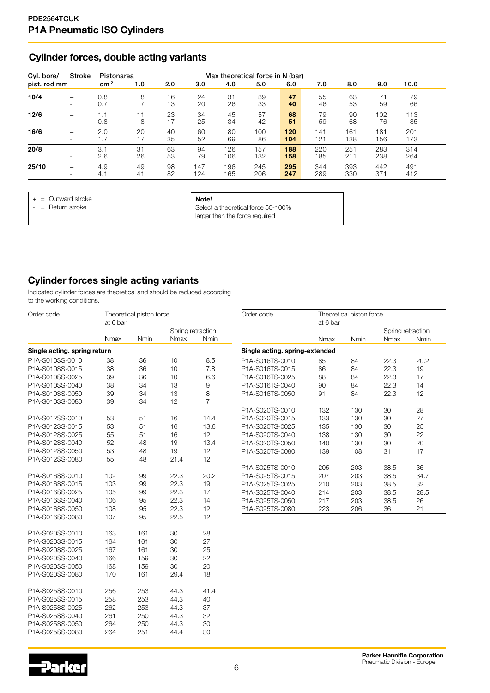## Cylinder forces, double acting variants

| Cyl. bore/   | Stroke                             | Pistonarea      |          |          |            |            | Max theoretical force in N (bar) |            |            |            |            |            |  |
|--------------|------------------------------------|-----------------|----------|----------|------------|------------|----------------------------------|------------|------------|------------|------------|------------|--|
| pist. rod mm |                                    | cm <sup>2</sup> | 1.0      | 2.0      | 3.0        | 4.0        | 5.0                              | 6.0        | 7.0        | 8.0        | 9.0        | 10.0       |  |
| 10/4         | $^{+}$<br>۰                        | 0.8<br>0.7      | 8        | 16<br>13 | 24<br>20   | 31<br>26   | 39<br>33                         | 47<br>40   | 55<br>46   | 63<br>53   | 71<br>59   | 79<br>66   |  |
| 12/6         | $^{+}$<br>$\sim$                   | 1.1<br>0.8      | 11<br>8  | 23<br>17 | 34<br>25   | 45<br>34   | 57<br>42                         | 68<br>51   | 79<br>59   | 90<br>68   | 102<br>76  | 113<br>85  |  |
| 16/6         | $+$                                | 2.0<br>1.7      | 20<br>17 | 40<br>35 | 60<br>52   | 80<br>69   | 100<br>86                        | 120<br>104 | 141<br>121 | 161<br>138 | 181<br>156 | 201<br>173 |  |
| 20/8         | $+$                                | 3.1<br>2.6      | 31<br>26 | 63<br>53 | 94<br>79   | 126<br>106 | 157<br>132                       | 188<br>158 | 220<br>185 | 251<br>211 | 283<br>238 | 314<br>264 |  |
| 25/10        | $^{+}$<br>$\overline{\phantom{0}}$ | 4.9<br>4.1      | 49<br>41 | 98<br>82 | 147<br>124 | 196<br>165 | 245<br>206                       | 295<br>247 | 344<br>289 | 393<br>330 | 442<br>371 | 491<br>412 |  |

+ = Outward stroke

 $-$  = Return stroke

Note!

Select a theoretical force 50-100% larger than the force required

## Cylinder forces single acting variants

Indicated cylinder forces are theoretical and should be reduced according to the working conditions.

| Order code                   | at 6 bar | Theoretical piston force |                   |                | Order code                     | at 6 bar | Theoretical piston force |                   |      |
|------------------------------|----------|--------------------------|-------------------|----------------|--------------------------------|----------|--------------------------|-------------------|------|
|                              |          |                          | Spring retraction |                |                                |          |                          | Spring retraction |      |
|                              | Nmax     | Nmin                     | Nmax              | Nmin           |                                | Nmax     | Nmin                     | <b>Nmax</b>       | Nmin |
| Single acting. spring return |          |                          |                   |                | Single acting. spring-extended |          |                          |                   |      |
| P1A-S010SS-0010              | 38       | 36                       | 10                | 8.5            | P1A-S016TS-0010                | 85       | 84                       | 22.3              | 20.2 |
| P1A-S010SS-0015              | 38       | 36                       | 10                | 7.8            | P1A-S016TS-0015                | 86       | 84                       | 22.3              | 19   |
| P1A-S010SS-0025              | 39       | 36                       | 10                | 6.6            | P1A-S016TS-0025                | 88       | 84                       | 22.3              | 17   |
| P1A-S010SS-0040              | 38       | 34                       | 13                | 9              | P1A-S016TS-0040                | 90       | 84                       | 22.3              | 14   |
| P1A-S010SS-0050              | 39       | 34                       | 13                | 8              | P1A-S016TS-0050                | 91       | 84                       | 22.3              | 12   |
| P1A-S010SS-0080              | 39       | 34                       | 12                | $\overline{7}$ |                                |          |                          |                   |      |
|                              |          |                          |                   |                | P1A-S020TS-0010                | 132      | 130                      | 30                | 28   |
| P1A-S012SS-0010              | 53       | 51                       | 16                | 14.4           | P1A-S020TS-0015                | 133      | 130                      | 30                | 27   |
| P1A-S012SS-0015              | 53       | 51                       | 16                | 13.6           | P1A-S020TS-0025                | 135      | 130                      | 30                | 25   |
| P1A-S012SS-0025              | 55       | 51                       | 16                | 12             | P1A-S020TS-0040                | 138      | 130                      | 30                | 22   |
| P1A-S012SS-0040              | 52       | 48                       | 19                | 13.4           | P1A-S020TS-0050                | 140      | 130                      | 30                | 20   |
| P1A-S012SS-0050              | 53       | 48                       | 19                | 12             | P1A-S020TS-0080                | 139      | 108                      | 31                | 17   |
| P1A-S012SS-0080              | 55       | 48                       | 21.4              | 12             |                                |          |                          |                   |      |
|                              |          |                          |                   |                | P1A-S025TS-0010                | 205      | 203                      | 38.5              | 36   |
| P1A-S016SS-0010              | 102      | 99                       | 22.3              | 20.2           | P1A-S025TS-0015                | 207      | 203                      | 38.5              | 34.7 |
| P1A-S016SS-0015              | 103      | 99                       | 22.3              | 19             | P1A-S025TS-0025                | 210      | 203                      | 38.5              | 32   |
| P1A-S016SS-0025              | 105      | 99                       | 22.3              | 17             | P1A-S025TS-0040                | 214      | 203                      | 38.5              | 28.5 |
| P1A-S016SS-0040              | 106      | 95                       | 22.3              | 14             | P1A-S025TS-0050                | 217      | 203                      | 38.5              | 26   |
| P1A-S016SS-0050              | 108      | 95                       | 22.3              | 12             | P1A-S025TS-0080                | 223      | 206                      | 36                | 21   |
| P1A-S016SS-0080              | 107      | 95                       | 22.5              | 12             |                                |          |                          |                   |      |
| P1A-S020SS-0010              | 163      | 161                      | 30                | 28             |                                |          |                          |                   |      |
| P1A-S020SS-0015              | 164      | 161                      | 30                | 27             |                                |          |                          |                   |      |
| P1A-S020SS-0025              | 167      | 161                      | 30                | 25             |                                |          |                          |                   |      |
| P1A-S020SS-0040              | 166      | 159                      | 30                | 22             |                                |          |                          |                   |      |
| P1A-S020SS-0050              | 168      | 159                      | 30                | 20             |                                |          |                          |                   |      |
| P1A-S020SS-0080              | 170      | 161                      | 29.4              | 18             |                                |          |                          |                   |      |
| P1A-S025SS-0010              | 256      | 253                      | 44.3              | 41.4           |                                |          |                          |                   |      |
| P1A-S025SS-0015              | 258      | 253                      | 44.3              | 40             |                                |          |                          |                   |      |
| P1A-S025SS-0025              | 262      | 253                      | 44.3              | 37             |                                |          |                          |                   |      |
| P1A-S025SS-0040              | 261      | 250                      | 44.3              | 32             |                                |          |                          |                   |      |
| P1A-S025SS-0050              | 264      | 250                      | 44.3              | 30             |                                |          |                          |                   |      |
| P1A-S025SS-0080              | 264      | 251                      | 44.4              | 30             |                                |          |                          |                   |      |

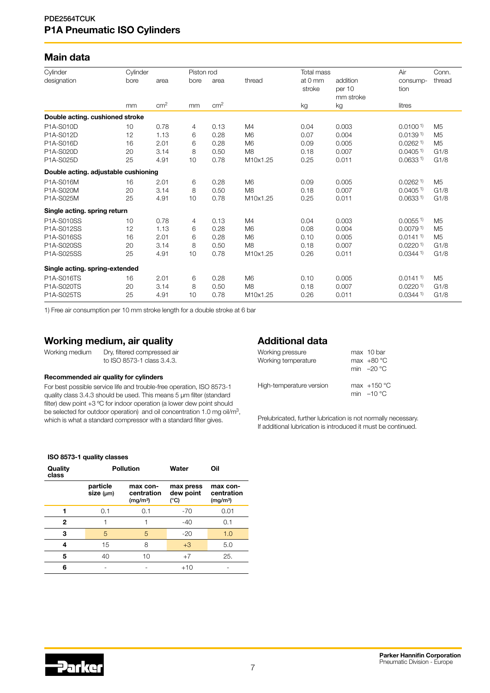## Main data

| Cylinder                             | Cylinder |                 | Piston rod |                 |                | Total mass        |                                 | Air                    | Conn.          |
|--------------------------------------|----------|-----------------|------------|-----------------|----------------|-------------------|---------------------------------|------------------------|----------------|
| designation                          | bore     | area            | bore       | area            | thread         | at 0 mm<br>stroke | addition<br>per 10<br>mm stroke | consump-<br>tion       | thread         |
|                                      | mm       | cm <sup>2</sup> | mm         | cm <sup>2</sup> |                | kg                | kg                              | litres                 |                |
| Double acting. cushioned stroke      |          |                 |            |                 |                |                   |                                 |                        |                |
| P1A-S010D                            | 10       | 0.78            | 4          | 0.13            | M4             | 0.04              | 0.003                           | 0.01001                | M <sub>5</sub> |
| P1A-S012D                            | 12       | 1.13            | 6          | 0.28            | M <sub>6</sub> | 0.07              | 0.004                           | 0.0139 <sup>1</sup>    | M <sub>5</sub> |
| P1A-S016D                            | 16       | 2.01            | 6          | 0.28            | M <sub>6</sub> | 0.09              | 0.005                           | $0.0262$ <sup>1)</sup> | M <sub>5</sub> |
| P1A-S020D                            | 20       | 3.14            | 8          | 0.50            | M <sub>8</sub> | 0.18              | 0.007                           | $0.0405$ <sup>1)</sup> | G1/8           |
| P1A-S025D                            | 25       | 4.91            | 10         | 0.78            | M10x1.25       | 0.25              | 0.011                           | 0.0633 <sup>1</sup>    | G1/8           |
| Double acting. adjustable cushioning |          |                 |            |                 |                |                   |                                 |                        |                |
| P1A-S016M                            | 16       | 2.01            | 6          | 0.28            | M <sub>6</sub> | 0.09              | 0.005                           | 0.0262 <sup>1</sup>    | M <sub>5</sub> |
| P1A-S020M                            | 20       | 3.14            | 8          | 0.50            | M <sub>8</sub> | 0.18              | 0.007                           | 0.0405 <sup>1</sup>    | G1/8           |
| P1A-S025M                            | 25       | 4.91            | 10         | 0.78            | M10x1.25       | 0.25              | 0.011                           | 0.0633 <sup>1</sup>    | G1/8           |
| Single acting. spring return         |          |                 |            |                 |                |                   |                                 |                        |                |
| P1A-S010SS                           | 10       | 0.78            | 4          | 0.13            | M4             | 0.04              | 0.003                           | $0.0055$ <sup>1)</sup> | M <sub>5</sub> |
| P1A-S012SS                           | 12       | 1.13            | 6          | 0.28            | M <sub>6</sub> | 0.08              | 0.004                           | 0.00791                | M <sub>5</sub> |
| P1A-S016SS                           | 16       | 2.01            | 6          | 0.28            | M <sub>6</sub> | 0.10              | 0.005                           | $0.0141^{1}$           | M <sub>5</sub> |
| P1A-S020SS                           | 20       | 3.14            | 8          | 0.50            | M <sub>8</sub> | 0.18              | 0.007                           | 0.02201                | G1/8           |
| P1A-S025SS                           | 25       | 4.91            | 10         | 0.78            | M10x1.25       | 0.26              | 0.011                           | 0.03441                | G1/8           |
| Single acting. spring-extended       |          |                 |            |                 |                |                   |                                 |                        |                |
| P1A-S016TS                           | 16       | 2.01            | 6          | 0.28            | M <sub>6</sub> | 0.10              | 0.005                           | 0.01411                | M <sub>5</sub> |
| P1A-S020TS                           | 20       | 3.14            | 8          | 0.50            | M <sub>8</sub> | 0.18              | 0.007                           | 0.02201                | G1/8           |
| P1A-S025TS                           | 25       | 4.91            | 10         | 0.78            | M10x1.25       | 0.26              | 0.011                           | 0.03441                | G1/8           |

1) Free air consumption per 10 mm stroke length for a double stroke at 6 bar

## Working medium, air quality

Working medium Dry, filtered compressed air to ISO 8573-1 class 3.4.3.

#### Recommended air quality for cylinders

For best possible service life and trouble-free operation, ISO 8573-1 quality class 3.4.3 should be used. This means 5 µm filter (standard filter) dew point +3 ºC for indoor operation (a lower dew point should be selected for outdoor operation) and oil concentration 1.0 mg oil/m3, which is what a standard compressor with a standard filter gives.

## Additional data

| Working pressure<br>Working temperature | max 10 bar<br>max $+80 °C$<br>min $-20 °C$  |
|-----------------------------------------|---------------------------------------------|
| High-temperature version                | max $+150^{\circ}$ C<br>min $-10^{\circ}$ C |

Prelubricated, further lubrication is not normally necessary. If additional lubrication is introduced it must be continued.

#### ISO 8573-1 quality classes

| Quality<br>class |                       | <b>Pollution</b>                               | Water                          | Oil                                            |  |  |  |
|------------------|-----------------------|------------------------------------------------|--------------------------------|------------------------------------------------|--|--|--|
|                  | particle<br>size (µm) | max con-<br>centration<br>(mg/m <sup>3</sup> ) | max press<br>dew point<br>(°C) | max con-<br>centration<br>(mg/m <sup>3</sup> ) |  |  |  |
|                  | 0.1                   | 0.1                                            | -70                            | 0.01                                           |  |  |  |
| 2                |                       |                                                | $-40$                          | 0.1                                            |  |  |  |
| 3                | 5                     | 5                                              | $-20$                          | 1.0                                            |  |  |  |
| 4                | 15                    | 8                                              | $+3$                           | 5.0                                            |  |  |  |
| 5                | 40                    | 10                                             | $+7$                           | 25.                                            |  |  |  |
| 6                |                       |                                                | $+10$                          |                                                |  |  |  |

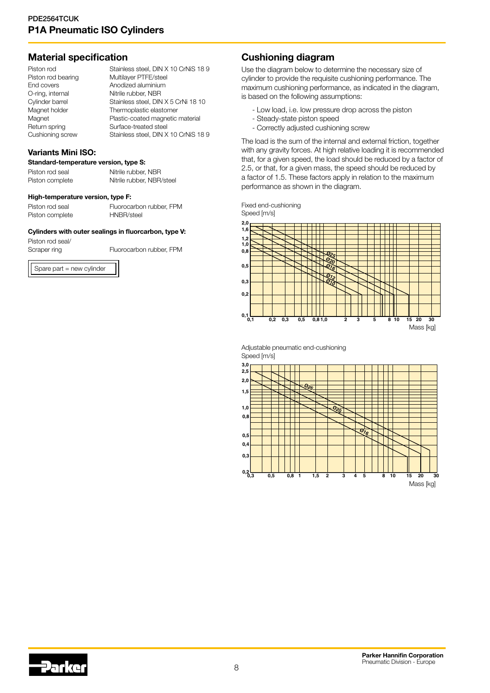## Material specification

| Piston rod         | Stainless steel, DIN X 10 CrNiS 189  |
|--------------------|--------------------------------------|
| Piston rod bearing | Multilayer PTFE/steel                |
| End covers         | Anodized aluminium                   |
| O-ring, internal   | Nitrile rubber, NBR                  |
| Cylinder barrel    | Stainless steel, DIN X 5 CrNi 18 10  |
| Magnet holder      | Thermoplastic elastomer              |
| Magnet             | Plastic-coated magnetic material     |
| Return spring      | Surface-treated steel                |
| Cushioning screw   | Stainless steel, DIN X 10 CrNiS 18 9 |

### Variants Mini ISO:

## Standard-temperature version, type S:

| Piston rod seal | Nitrile rubber, NBR       |
|-----------------|---------------------------|
| Piston complete | Nitrile rubber, NBR/steel |

#### High-temperature version, type F:

Spare part = new cylinder

Piston rod seal Fluorocarbon rubber, FPM Piston complete HNBR/steel

#### Cylinders with outer sealings in fluorcarbon, type V:

Piston rod seal/ Scraper ring Fluorocarbon rubber, FPM

## Cushioning diagram

Use the diagram below to determine the necessary size of cylinder to provide the requisite cushioning performance. The maximum cushioning performance, as indicated in the diagram, is based on the following assumptions:

- Low load, i.e. low pressure drop across the piston
- Steady-state piston speed
- Correctly adjusted cushioning screw

The load is the sum of the internal and external friction, together with any gravity forces. At high relative loading it is recommended that, for a given speed, the load should be reduced by a factor of 2.5, or that, for a given mass, the speed should be reduced by a factor of 1.5. These factors apply in relation to the maximum performance as shown in the diagram.

Fixed end-cushioning Speed [m/s]



Adjustable pneumatic end-cushioning Speed [m/s]

![](_page_7_Figure_20.jpeg)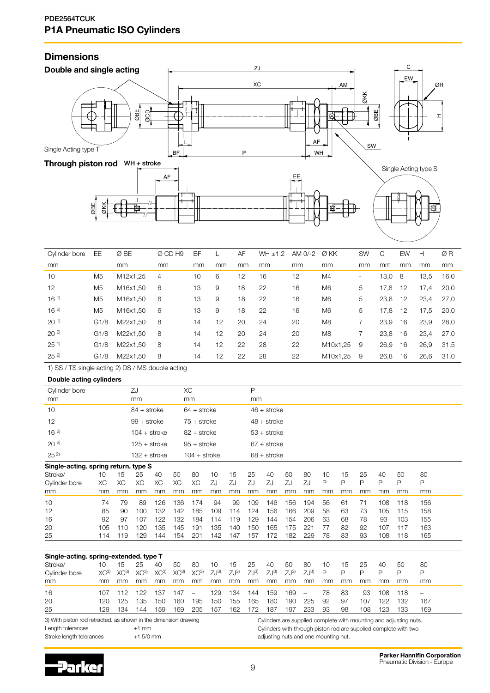## **Dimensions**

![](_page_8_Figure_2.jpeg)

| Cylinder bore   | EE.            | Ø BE     | Ø CD H9 | BF |    | AF | WH ± 1.2 | AM 0/-2 | Ø KK           | <b>SW</b>                | C    | EW | Н    | ØR   |
|-----------------|----------------|----------|---------|----|----|----|----------|---------|----------------|--------------------------|------|----|------|------|
| mm              |                | mm       | mm      | mm | mm | mm | mm       | mm      | mm             | mm                       | mm   | mm | mm   | mm   |
| 10              | M <sub>5</sub> | M12x1.25 | 4       | 10 | 6  | 12 | 16       | 12      | M4             | $\overline{\phantom{0}}$ | 13,0 | -8 | 13,5 | 16,0 |
| 12              | M <sub>5</sub> | M16x1,50 | 6       | 13 | 9  | 18 | 22       | 16      | M <sub>6</sub> | 5                        | 17,8 | 12 | 17,4 | 20,0 |
| $16^{1}$        | M <sub>5</sub> | M16x1,50 | 6       | 13 | 9  | 18 | 22       | 16      | M <sub>6</sub> | 5                        | 23,8 | 12 | 23,4 | 27.0 |
| $16^{2}$        | M <sub>5</sub> | M16x1,50 | 6       | 13 | 9  | 18 | 22       | 16      | M <sub>6</sub> | 5                        | 17,8 | 12 | 17,5 | 20,0 |
| 20 <sup>1</sup> | G1/8           | M22x1,50 | 8       | 14 | 12 | 20 | 24       | 20      | M <sub>8</sub> |                          | 23.9 | 16 | 23,9 | 28.0 |
| $20^{2}$        | G1/8           | M22x1,50 | 8       | 14 | 12 | 20 | 24       | 20      | M <sub>8</sub> |                          | 23,8 | 16 | 23,4 | 27,0 |
| $25^{11}$       | G1/8           | M22x1,50 | 8       | 14 | 12 | 22 | 28       | 22      | M10x1,25       | 9                        | 26,9 | 16 | 26,9 | 31,5 |
| $25^{2}$        | G1/8           | M22x1.50 | 8       | 14 | 12 | 22 | 28       | 22      | M10x1.25       | 9                        | 26,8 | 16 | 26,6 | 31.0 |

1) SS / TS single acting 2) DS / MS double acting

Double acting cylinders

| Cylinder bore                        |     |     | ZJ             |     |     | XC             |     |     | Р   |               |     |     |    |    |    |     |     |     |
|--------------------------------------|-----|-----|----------------|-----|-----|----------------|-----|-----|-----|---------------|-----|-----|----|----|----|-----|-----|-----|
| mm                                   |     |     | mm             |     |     | mm             |     |     | mm  |               |     |     |    |    |    |     |     |     |
| 10                                   |     |     | $84 +$ stroke  |     |     | $64 +$ stroke  |     |     |     | $46 +$ stroke |     |     |    |    |    |     |     |     |
| 12                                   |     |     | $99 +$ stroke  |     |     | $75 +$ stroke  |     |     |     | $48 +$ stroke |     |     |    |    |    |     |     |     |
| 16 <sup>2</sup>                      |     |     | $104 +$ stroke |     |     | $82 +$ stroke  |     |     |     | $53 +$ stroke |     |     |    |    |    |     |     |     |
| $20^{2}$                             |     |     | 125 + stroke   |     |     | $95 +$ stroke  |     |     |     | $67 +$ stroke |     |     |    |    |    |     |     |     |
| $25^{2}$                             |     |     | 132 + stroke   |     |     | $104 +$ stroke |     |     |     | $68 +$ stroke |     |     |    |    |    |     |     |     |
| Single-acting. spring return. type S |     |     |                |     |     |                |     |     |     |               |     |     |    |    |    |     |     |     |
| Stroke/                              | 10  | 15  | 25             | 40  | 50  | 80             | 10  | 15  | 25  | 40            | 50  | 80  | 10 | 15 | 25 | 40  | 50  | 80  |
| Cylinder bore                        | ХC  | XC  | ХC             | XC  | XC  | ХC             | ZJ  | ZJ  | ZJ  | ZJ            | ZJ  | ZJ  | P  | P  | P  | P   | P   | P   |
| mm                                   | mm  | mm  | mm             | mm  | mm  | mm             | mm  | mm  | mm  | mm            | mm  | mm  | mm | mm | mm | mm  | mm  | mm  |
| 10                                   | 74  | 79  | 89             | 126 | 136 | 174            | 94  | 99  | 109 | 146           | 156 | 194 | 56 | 61 | 71 | 108 | 118 | 156 |
| 12                                   | 85  | 90  | 100            | 132 | 142 | 185            | 109 | 114 | 124 | 156           | 166 | 209 | 58 | 63 | 73 | 105 | 115 | 158 |
| 16                                   | 92  | 97  | 107            | 122 | 132 | 184            | 114 | 119 | 129 | 144           | 154 | 206 | 63 | 68 | 78 | 93  | 103 | 155 |
| 20                                   | 105 | 110 | 120            | 135 | 145 | 191            | 135 | 140 | 150 | 165           | 175 | 221 | 77 | 82 | 92 | 107 | 117 | 163 |
| 25                                   | 114 | 119 | 129            | 144 | 154 | 201            | 142 | 147 | 157 | 172           | 182 | 229 | 78 | 83 | 93 | 108 | 118 | 165 |

| Single-acting. spring-extended. type T |                 |                 |                 |                 |                 |                          |           |          |                   |           |                   |                          |              |     |     |     |     |     |
|----------------------------------------|-----------------|-----------------|-----------------|-----------------|-----------------|--------------------------|-----------|----------|-------------------|-----------|-------------------|--------------------------|--------------|-----|-----|-----|-----|-----|
| Stroke/                                | 10              | 15              | 25              | 40              | 50              | 80                       | 10        | 15       | 25                | 40        | 50                | -80                      | 10           | 15  | 25  | 40  | -50 | -80 |
| Cylinder bore                          | XC <sup>3</sup> | XC <sup>3</sup> | XC <sup>3</sup> | XC <sup>3</sup> | XC <sup>3</sup> | XC <sup>3</sup>          | $ZJ^{3)}$ | $ZJ^{3}$ | $Z_{\rm J}^{(3)}$ | $ZJ^{3)}$ | $Z_{\rm J}^{(3)}$ | $Z_{\rm J}$ 3)           | $\mathsf{P}$ | P   |     | D   | D   | P   |
| mm                                     | mm              | mm              | mm              | mm              | mm              | mm                       | mm        | mm       | mm                | mm        | mm                | mm                       | mm           | mm  | mm  | mm  | mm  | mm  |
| 16                                     | 107             |                 | 122             | 137             | 147             | $\overline{\phantom{m}}$ | 129       | 134      | 144               | 159       | 169               | $\overline{\phantom{m}}$ | 78           | -83 | 93  | 108 | 118 |     |
| 20                                     | 120             | 125             | '35             | 150             | 160             | 195                      | 150       | 155      | 165               | 180       | 190               | 225                      | 92           | 97  | 107 | 122 | 132 | 167 |
| 25                                     | 129             | 34              | 44              | 159             | 169             | 205                      | 157       | 162      | 172               | 187       | 197               | 233                      | 93           | 98  | 108 | 123 | 133 | 169 |

3) With piston rod retracted. as shown in the dimension drawing Length tolerances  $\pm 1$  mm

Stroke length tolerances  $+1.5/0$  mm

Cylinders are supplied complete with mounting and adjusting nuts. Cylinders with through piston rod are supplied complete with two adjusting nuts and one mounting nut.

![](_page_8_Picture_12.jpeg)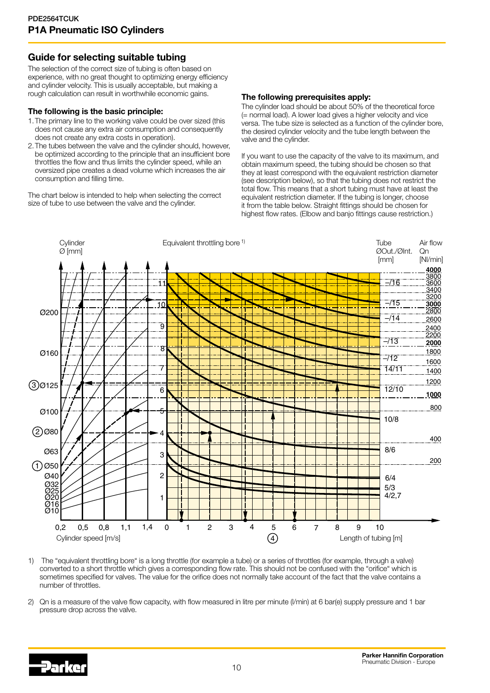## Guide for selecting suitable tubing

The selection of the correct size of tubing is often based on experience, with no great thought to optimizing energy efficiency and cylinder velocity. This is usually acceptable, but making a rough calculation can result in worthwhile economic gains.

## The following is the basic principle:

- 1.The primary line to the working valve could be over sized (this does not cause any extra air consumption and consequently does not create any extra costs in operation).
- 2.The tubes between the valve and the cylinder should, however, be optimized according to the principle that an insufficient bore throttles the flow and thus limits the cylinder speed, while an oversized pipe creates a dead volume which increases the air consumption and filling time.

The chart below is intended to help when selecting the correct size of tube to use between the valve and the cylinder.

### The following prerequisites apply:

The cylinder load should be about 50% of the theoretical force (= normal load). A lower load gives a higher velocity and vice versa. The tube size is selected as a function of the cylinder bore, the desired cylinder velocity and the tube length between the valve and the cylinder.

If you want to use the capacity of the valve to its maximum, and obtain maximum speed, the tubing should be chosen so that they at least correspond with the equivalent restriction diameter (see description below), so that the tubing does not restrict the total flow. This means that a short tubing must have at least the equivalent restriction diameter. If the tubing is longer, choose it from the table below. Straight fittings should be chosen for highest flow rates. (Elbow and banjo fittings cause restriction.)

![](_page_9_Figure_10.jpeg)

1) The "equivalent throttling bore" is a long throttle (for example a tube) or a series of throttles (for example, through a valve) converted to a short throttle which gives a corresponding flow rate. This should not be confused with the "orifice" which is sometimes specified for valves. The value for the orifice does not normally take account of the fact that the valve contains a number of throttles.

2) Qn is a measure of the valve flow capacity, with flow measured in litre per minute (l/min) at 6 bar(e) supply pressure and 1 bar pressure drop across the valve.

![](_page_9_Picture_13.jpeg)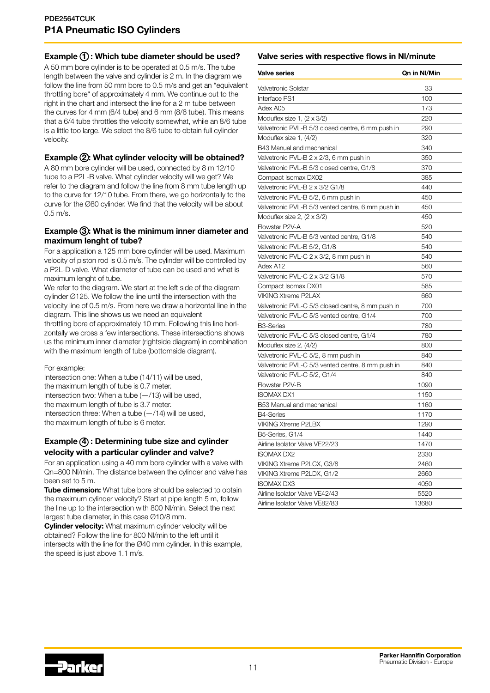## Example  $\bigoplus$ : Which tube diameter should be used?

A 50 mm bore cylinder is to be operated at 0.5 m/s. The tube length between the valve and cylinder is 2 m. In the diagram we follow the line from 50 mm bore to 0.5 m/s and get an "equivalent throttling bore" of approximately 4 mm. We continue out to the right in the chart and intersect the line for a 2 m tube between the curves for 4 mm (6/4 tube) and 6 mm (8/6 tube). This means that a 6/4 tube throttles the velocity somewhat, while an 8/6 tube is a little too large. We select the 8/6 tube to obtain full cylinder velocity.

## Example 2: What cylinder velocity will be obtained?

A 80 mm bore cylinder will be used, connected by 8 m 12/10 tube to a P2L-B valve. What cylinder velocity will we get? We refer to the diagram and follow the line from 8 mm tube length up to the curve for 12/10 tube. From there, we go horizontally to the curve for the Ø80 cylinder. We find that the velocity will be about  $0.5 \, \text{m/s}$ .

## Example 3: What is the minimum inner diameter and maximum lenght of tube?

For a application a 125 mm bore cylinder will be used. Maximum velocity of piston rod is 0.5 m/s. The cylinder will be controlled by a P2L-D valve. What diameter of tube can be used and what is maximum lenght of tube.

We refer to the diagram. We start at the left side of the diagram cylinder Ø125. We follow the line until the intersection with the velocity line of 0.5 m/s. From here we draw a horizontal line in the diagram. This line shows us we need an equivalent

throttling bore of approximately 10 mm. Following this line horizontally we cross a few intersections. These intersections shows us the minimum inner diameter (rightside diagram) in combination with the maximum length of tube (bottomside diagram).

For example:

Intersection one: When a tube (14/11) will be used, the maximum length of tube is 0.7 meter. Intersection two: When a tube  $(-/13)$  will be used. the maximum length of tube is 3.7 meter. Intersection three: When a tube  $(-/14)$  will be used. the maximum length of tube is 6 meter.

## Example (4) : Determining tube size and cylinder velocity with a particular cylinder and valve?

For an application using a 40 mm bore cylinder with a valve with Qn=800 Nl/min. The distance between the cylinder and valve has been set to 5 m.

Tube dimension: What tube bore should be selected to obtain the maximum cylinder velocity? Start at pipe length 5 m, follow the line up to the intersection with 800 Nl/min. Select the next largest tube diameter, in this case Ø10/8 mm.

**Cylinder velocity:** What maximum cylinder velocity will be obtained? Follow the line for 800 Nl/min to the left until it intersects with the line for the Ø40 mm cylinder. In this example, the speed is just above 1.1 m/s.

## Valve series with respective flows in Nl/minute

| <b>Valve series</b>                               | Qn in NI/Min |
|---------------------------------------------------|--------------|
| Valvetronic Solstar                               | 33           |
| Interface PS1                                     | 100          |
| Adex A05                                          | 173          |
| Moduflex size 1, $(2 \times 3/2)$                 | 220          |
| Valvetronic PVL-B 5/3 closed centre, 6 mm push in | 290          |
| Moduflex size 1, (4/2)                            | 320          |
| B43 Manual and mechanical                         | 340          |
| Valvetronic PVL-B 2 x 2/3, 6 mm push in           | 350          |
| Valvetronic PVL-B 5/3 closed centre, G1/8         | 370          |
| Compact Isomax DX02                               | 385          |
| Valvetronic PVL-B 2 x 3/2 G1/8                    | 440          |
| Valvetronic PVL-B 5/2, 6 mm push in               | 450          |
| Valvetronic PVL-B 5/3 vented centre, 6 mm push in | 450          |
| Moduflex size 2, $(2 \times 3/2)$                 | 450          |
| Flowstar P2V-A                                    | 520          |
| Valvetronic PVL-B 5/3 vented centre, G1/8         | 540          |
| Valvetronic PVL-B 5/2, G1/8                       | 540          |
| Valvetronic PVL-C 2 x 3/2, 8 mm push in           | 540          |
| Adex A12                                          | 560          |
| Valvetronic PVL-C 2 x 3/2 G1/8                    | 570          |
| Compact Isomax DX01                               | 585          |
| <b>VIKING Xtreme P2LAX</b>                        | 660          |
| Valvetronic PVL-C 5/3 closed centre, 8 mm push in | 700          |
| Valvetronic PVL-C 5/3 vented centre, G1/4         | 700          |
| <b>B3-Series</b>                                  | 780          |
| Valvetronic PVL-C 5/3 closed centre, G1/4         | 780          |
| Moduflex size 2, (4/2)                            | 800          |
| Valvetronic PVL-C 5/2, 8 mm push in               | 840          |
| Valvetronic PVL-C 5/3 vented centre, 8 mm push in | 840          |
| Valvetronic PVL-C 5/2, G1/4                       | 840          |
| Flowstar P2V-B                                    | 1090         |
| <b>ISOMAX DX1</b>                                 | 1150         |
| B53 Manual and mechanical                         | 1160         |
| <b>B4-Series</b>                                  | 1170         |
| <b>VIKING Xtreme P2LBX</b>                        | 1290         |
| B5-Series, G1/4                                   | 1440         |
| Airline Isolator Valve VE22/23                    | 1470         |
| <b>ISOMAX DX2</b>                                 | 2330         |
| VIKING Xtreme P2LCX, G3/8                         | 2460         |
| VIKING Xtreme P2LDX, G1/2                         | 2660         |
| <b>ISOMAX DX3</b>                                 | 4050         |
| Airline Isolator Valve VE42/43                    | 5520         |
| Airline Isolator Valve VE82/83                    | 13680        |

![](_page_10_Picture_17.jpeg)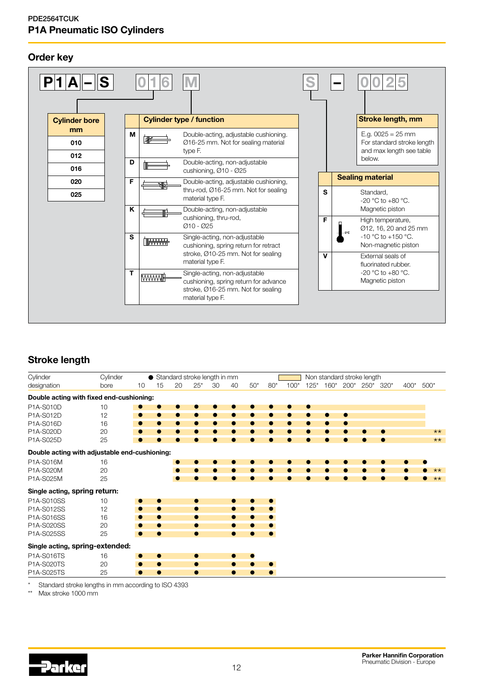## Order key

![](_page_11_Figure_2.jpeg)

## Stroke length

| Cylinder                                      | Cylinder |           |           |    |           | ● Standard stroke length in mm |           |           |           |        |        |        |           | Non standard stroke length |           |        |        |
|-----------------------------------------------|----------|-----------|-----------|----|-----------|--------------------------------|-----------|-----------|-----------|--------|--------|--------|-----------|----------------------------|-----------|--------|--------|
| designation                                   | bore     | 10        | 15        | 20 | $25*$     | 30                             | 40        | $50*$     | $80*$     | $100*$ | $125*$ | $160*$ | $200*$    | 250* 320*                  |           | $400*$ | $500*$ |
| Double acting with fixed end-cushioning:      |          |           |           |    |           |                                |           |           |           |        |        |        |           |                            |           |        |        |
| P1A-S010D                                     | 10       |           |           |    |           |                                |           |           |           |        | ●      |        |           |                            |           |        |        |
| P1A-S012D                                     | 12       | $\bullet$ | $\bullet$ |    | $\bullet$ |                                |           | 0         | 0         |        | 0      | 0      | $\bullet$ |                            |           |        |        |
| P1A-S016D                                     | 16       | $\bullet$ | $\bullet$ |    | ●         | 0                              |           | ●         | 0         |        | 0      |        |           |                            |           |        |        |
| P1A-S020D                                     | 20       | $\bullet$ | 0         |    | ●         |                                |           | ●         | ●         |        | ●      |        |           |                            | 0         |        | $**$   |
| P1A-S025D                                     | 25       | 0         |           |    |           |                                |           |           |           |        |        |        |           |                            |           |        | $**$   |
| Double acting with adjustable end-cushioning: |          |           |           |    |           |                                |           |           |           |        |        |        |           |                            |           |        |        |
| P1A-S016M                                     | 16       |           |           |    | ●         |                                |           | o         |           |        |        |        |           |                            | $\bullet$ | ●      |        |
| P1A-S020M                                     | 20       |           |           |    | ●         |                                |           | 0         | ●         |        | 0      | ●      |           | $\bullet$                  | $\bullet$ |        | $***$  |
| P1A-S025M                                     | 25       |           |           |    |           |                                |           |           |           |        |        |        |           |                            | $\bullet$ |        | $**$   |
| Single acting, spring return:                 |          |           |           |    |           |                                |           |           |           |        |        |        |           |                            |           |        |        |
| P1A-S010SS                                    | 10       | $\bullet$ | ۰         |    | $\bullet$ |                                |           |           | $\bullet$ |        |        |        |           |                            |           |        |        |
| P1A-S012SS                                    | 12       | $\bullet$ | $\bullet$ |    | $\bullet$ |                                |           | $\bullet$ | $\bullet$ |        |        |        |           |                            |           |        |        |
| P1A-S016SS                                    | 16       | $\bullet$ | $\bullet$ |    | $\bullet$ |                                | $\bullet$ | $\bullet$ | $\bullet$ |        |        |        |           |                            |           |        |        |
| P1A-S020SS                                    | 20       | $\bullet$ |           |    | $\bullet$ |                                |           |           |           |        |        |        |           |                            |           |        |        |
| P1A-S025SS                                    | 25       | $\bullet$ | $\bullet$ |    | $\bullet$ |                                | $\bullet$ | ●         | $\bullet$ |        |        |        |           |                            |           |        |        |
| Single acting, spring-extended:               |          |           |           |    |           |                                |           |           |           |        |        |        |           |                            |           |        |        |
| P1A-S016TS                                    | 16       | $\bullet$ | $\bullet$ |    | $\bullet$ |                                | $\bullet$ |           |           |        |        |        |           |                            |           |        |        |
| P1A-S020TS                                    | 20       | $\bullet$ | $\bullet$ |    | $\bullet$ |                                |           |           | $\bullet$ |        |        |        |           |                            |           |        |        |
| P1A-S025TS                                    | 25       | $\bullet$ |           |    | $\bullet$ |                                | ●         |           | ●         |        |        |        |           |                            |           |        |        |

\* Standard stroke lengths in mm according to ISO 4393

Max stroke 1000 mm

![](_page_11_Picture_7.jpeg)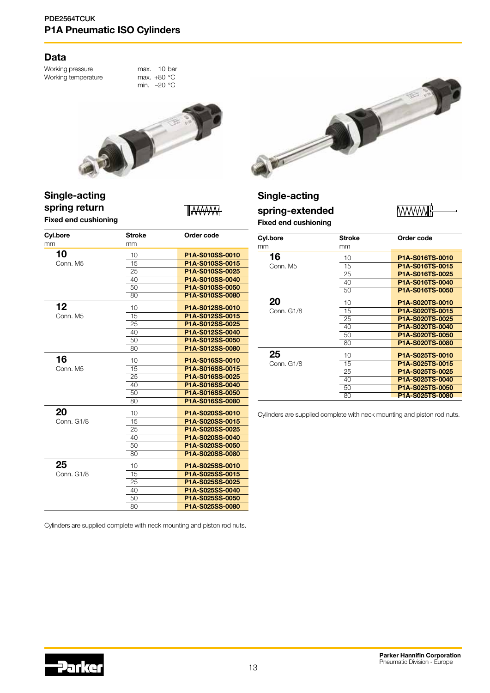## Data

Working pressure max. 10 bar<br>Working temperature max. +80 °C Working temperature

min. –20 °C

![](_page_12_Picture_4.jpeg)

## Single-acting spring return Fixed end cushioning

![](_page_12_Picture_6.jpeg)

| Cyl.bore   | <b>Stroke</b> | Order code      |
|------------|---------------|-----------------|
| mm         | mm            |                 |
| 10         | 10            | P1A-S010SS-0010 |
| Conn. M5   | 15            | P1A-S010SS-0015 |
|            | 25            | P1A-S010SS-0025 |
|            | 40            | P1A-S010SS-0040 |
|            | 50            | P1A-S010SS-0050 |
|            | 80            | P1A-S010SS-0080 |
| 12         | 10            | P1A-S012SS-0010 |
| Conn. M5   | 15            | P1A-S012SS-0015 |
|            | 25            | P1A-S012SS-0025 |
|            | 40            | P1A-S012SS-0040 |
|            | 50            | P1A-S012SS-0050 |
|            | 80            | P1A-S012SS-0080 |
| 16         | 10            | P1A-S016SS-0010 |
| Conn. M5   | 15            | P1A-S016SS-0015 |
|            | 25            | P1A-S016SS-0025 |
|            | 40            | P1A-S016SS-0040 |
|            | 50            | P1A-S016SS-0050 |
|            | 80            | P1A-S016SS-0080 |
| 20         | 10            | P1A-S020SS-0010 |
| Conn. G1/8 | 15            | P1A-S020SS-0015 |
|            | 25            | P1A-S020SS-0025 |
|            | 40            | P1A-S020SS-0040 |
|            | 50            | P1A-S020SS-0050 |
|            | 80            | P1A-S020SS-0080 |
| 25         | 10            | P1A-S025SS-0010 |
| Conn. G1/8 | 15            | P1A-S025SS-0015 |
|            | 25            | P1A-S025SS-0025 |
|            | 40            | P1A-S025SS-0040 |
|            | 50            | P1A-S025SS-0050 |
|            | 80            | P1A-S025SS-0080 |

![](_page_12_Picture_8.jpeg)

## Single-acting

## spring-extended Fixed end cushioning

**MWWW** 

| Cyl.bore   | <b>Stroke</b> | Order code                                |
|------------|---------------|-------------------------------------------|
| mm         | mm            |                                           |
| 16         | 10            | P <sub>1</sub> A-S016TS-0010              |
| Conn, M5   | 15            | P <sub>1</sub> A-S <sub>016</sub> TS-0015 |
|            | 25            | P1A-S016TS-0025                           |
|            | 40            | P1A-S016TS-0040                           |
|            | 50            | P <sub>1</sub> A-S <sub>016</sub> TS-0050 |
| 20         | 10            | P <sub>1</sub> A-S020TS-0010              |
| Conn. G1/8 | 15            | P <sub>1</sub> A-S020TS-0015              |
|            | 25            | P1A-S020TS-0025                           |
|            | 40            | P1A-S020TS-0040                           |
|            | 50            | P <sub>1</sub> A-S020TS-0050              |
|            | 80            | P1A-S020TS-0080                           |
| 25         | 10            | P <sub>1</sub> A-S025TS-0010              |
| Conn. G1/8 | 15            | P1A-S025TS-0015                           |
|            | 25            | P1A-S025TS-0025                           |
|            | 40            | P1A-S025TS-0040                           |
|            | 50            | P1A-S025TS-0050                           |
|            | 80            | P <sub>1</sub> A-S025TS-0080              |

Cylinders are supplied complete with neck mounting and piston rod nuts.

Cylinders are supplied complete with neck mounting and piston rod nuts.

![](_page_12_Picture_15.jpeg)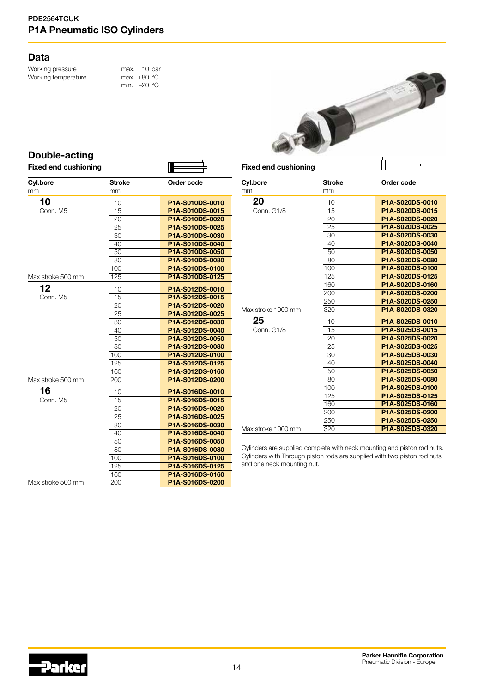## Data

Working pressure max. 10 bar<br>Working temperature max. +80 °C Working temperature

```
min. –20 °C
```
![](_page_13_Picture_4.jpeg)

## Double-acting

| <b>Fixed end cushioning</b> |        |                 |
|-----------------------------|--------|-----------------|
| Cyl.bore                    | Stroke | Order code      |
| mm                          | mm     |                 |
| 10                          | 10     | P1A-S010DS-0010 |
| Conn, M5                    | 15     | P1A-S010DS-0015 |
|                             | 20     | P1A-S010DS-0020 |
|                             | 25     | P1A-S010DS-0025 |
|                             | 30     | P1A-S010DS-0030 |
|                             | 40     | P1A-S010DS-0040 |
|                             | 50     | P1A-S010DS-0050 |
|                             | 80     | P1A-S010DS-0080 |
|                             | 100    | P1A-S010DS-0100 |
| Max stroke 500 mm           | 125    | P1A-S010DS-0125 |
| 12                          | 10     | P1A-S012DS-0010 |
| Conn. M5                    | 15     | P1A-S012DS-0015 |
|                             | 20     | P1A-S012DS-0020 |
|                             | 25     | P1A-S012DS-0025 |
|                             | 30     | P1A-S012DS-0030 |
|                             | 40     | P1A-S012DS-0040 |
|                             | 50     | P1A-S012DS-0050 |
|                             | 80     | P1A-S012DS-0080 |
|                             | 100    | P1A-S012DS-0100 |
|                             | 125    | P1A-S012DS-0125 |
|                             | 160    | P1A-S012DS-0160 |
| Max stroke 500 mm           | 200    | P1A-S012DS-0200 |
| 16                          | 10     | P1A-S016DS-0010 |
| Conn. M5                    | 15     | P1A-S016DS-0015 |
|                             | 20     | P1A-S016DS-0020 |
|                             | 25     | P1A-S016DS-0025 |
|                             | 30     | P1A-S016DS-0030 |
|                             | 40     | P1A-S016DS-0040 |
|                             | 50     | P1A-S016DS-0050 |
|                             | 80     | P1A-S016DS-0080 |
|                             | 100    | P1A-S016DS-0100 |
|                             | 125    | P1A-S016DS-0125 |
|                             | 160    | P1A-S016DS-0160 |
| Max stroke 500 mm           | 200    | P1A-S016DS-0200 |

| Cyl.bore           | <b>Stroke</b> | Order code      |  |  |  |  |  |
|--------------------|---------------|-----------------|--|--|--|--|--|
| mm                 | mm            |                 |  |  |  |  |  |
| 20                 | 10            | P1A-S020DS-0010 |  |  |  |  |  |
| Conn. G1/8         | 15            | P1A-S020DS-0015 |  |  |  |  |  |
|                    | 20            | P1A-S020DS-0020 |  |  |  |  |  |
|                    | 25            | P1A-S020DS-0025 |  |  |  |  |  |
|                    | 30            | P1A-S020DS-0030 |  |  |  |  |  |
|                    | 40            | P1A-S020DS-0040 |  |  |  |  |  |
|                    | 50            | P1A-S020DS-0050 |  |  |  |  |  |
|                    | 80            | P1A-S020DS-0080 |  |  |  |  |  |
|                    | 100           | P1A-S020DS-0100 |  |  |  |  |  |
|                    | 125           | P1A-S020DS-0125 |  |  |  |  |  |
|                    | 160           | P1A-S020DS-0160 |  |  |  |  |  |
|                    | 200           | P1A-S020DS-0200 |  |  |  |  |  |
|                    | 250           | P1A-S020DS-0250 |  |  |  |  |  |
| Max stroke 1000 mm | 320           | P1A-S020DS-0320 |  |  |  |  |  |
| 25                 | 10            | P1A-S025DS-0010 |  |  |  |  |  |
| Conn. G1/8         | 15            | P1A-S025DS-0015 |  |  |  |  |  |
|                    | 20            | P1A-S025DS-0020 |  |  |  |  |  |
|                    | 25            | P1A-S025DS-0025 |  |  |  |  |  |
|                    | 30            | P1A-S025DS-0030 |  |  |  |  |  |
|                    | 40            | P1A-S025DS-0040 |  |  |  |  |  |
|                    | 50            | P1A-S025DS-0050 |  |  |  |  |  |
|                    | 80            | P1A-S025DS-0080 |  |  |  |  |  |
|                    | 100           | P1A-S025DS-0100 |  |  |  |  |  |
|                    | 125           | P1A-S025DS-0125 |  |  |  |  |  |
|                    | 160           | P1A-S025DS-0160 |  |  |  |  |  |
|                    | 200           | P1A-S025DS-0200 |  |  |  |  |  |
|                    | 250           | P1A-S025DS-0250 |  |  |  |  |  |
| Max stroke 1000 mm | 320           | P1A-S025DS-0320 |  |  |  |  |  |

Cylinders are supplied complete with neck mounting and piston rod nuts. Cylinders with Through piston rods are supplied with two piston rod nuts and one neck mounting nut.

![](_page_13_Picture_9.jpeg)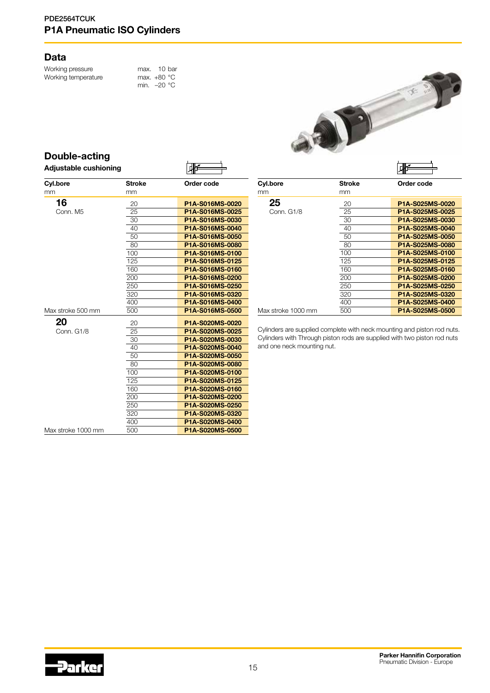## Data

Working pressure max. 10 bar<br>Working temperature max. +80 °C Working temperature

min. –20 °C

![](_page_14_Picture_4.jpeg)

⊣

| Double-acting         |   |
|-----------------------|---|
| Adjustable cushioning | 倻 |

| <b>Cyl.bore</b>    | <b>Stroke</b> | Order code      |
|--------------------|---------------|-----------------|
| mm                 | mm            |                 |
| 16                 | 20            | P1A-S016MS-0020 |
| Conn, M5           | 25            | P1A-S016MS-0025 |
|                    | 30            | P1A-S016MS-0030 |
|                    | 40            | P1A-S016MS-0040 |
|                    | 50            | P1A-S016MS-0050 |
|                    | 80            | P1A-S016MS-0080 |
|                    | 100           | P1A-S016MS-0100 |
|                    | 125           | P1A-S016MS-0125 |
|                    | 160           | P1A-S016MS-0160 |
|                    | 200           | P1A-S016MS-0200 |
|                    | 250           | P1A-S016MS-0250 |
|                    | 320           | P1A-S016MS-0320 |
|                    | 400           | P1A-S016MS-0400 |
| Max stroke 500 mm  | 500           | P1A-S016MS-0500 |
|                    |               |                 |
| 20                 | 20            | P1A-S020MS-0020 |
| Conn. G1/8         | 25            | P1A-S020MS-0025 |
|                    | 30            | P1A-S020MS-0030 |
|                    | 40            | P1A-S020MS-0040 |
|                    | 50            | P1A-S020MS-0050 |
|                    | 80            | P1A-S020MS-0080 |
|                    | 100           | P1A-S020MS-0100 |
|                    | 125           | P1A-S020MS-0125 |
|                    | 160           | P1A-S020MS-0160 |
|                    | 200           | P1A-S020MS-0200 |
|                    | 250           | P1A-S020MS-0250 |
|                    | 320           | P1A-S020MS-0320 |
|                    | 400           | P1A-S020MS-0400 |
| Max stroke 1000 mm | 500           | P1A-S020MS-0500 |

|                    |        | MF              |
|--------------------|--------|-----------------|
| Cyl.bore           | Stroke | Order code      |
| mm                 | mm     |                 |
| 25                 | 20     | P1A-S025MS-0020 |
| Conn. G1/8         | 25     | P1A-S025MS-0025 |
|                    | 30     | P1A-S025MS-0030 |
|                    | 40     | P1A-S025MS-0040 |
|                    | 50     | P1A-S025MS-0050 |
|                    | 80     | P1A-S025MS-0080 |
|                    | 100    | P1A-S025MS-0100 |
|                    | 125    | P1A-S025MS-0125 |
|                    | 160    | P1A-S025MS-0160 |
|                    | 200    | P1A-S025MS-0200 |
|                    | 250    | P1A-S025MS-0250 |
|                    | 320    | P1A-S025MS-0320 |
|                    | 400    | P1A-S025MS-0400 |
| Max stroke 1000 mm | 500    | P1A-S025MS-0500 |

Cylinders are supplied complete with neck mounting and piston rod nuts. Cylinders with Through piston rods are supplied with two piston rod nuts and one neck mounting nut.

![](_page_14_Picture_9.jpeg)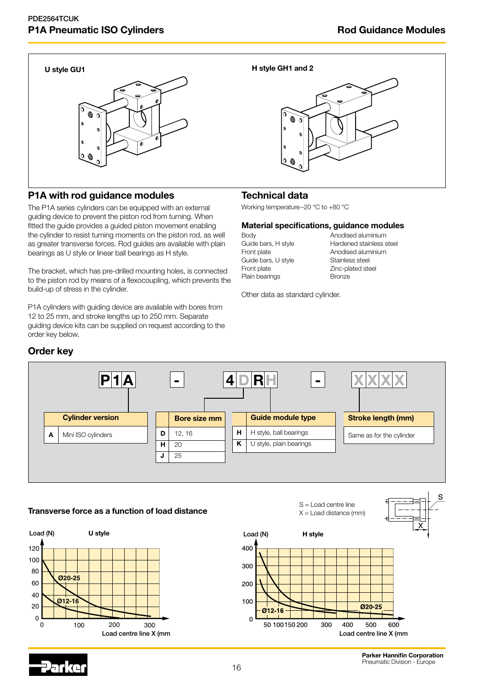![](_page_15_Picture_3.jpeg)

## P1A with rod guidance modules

The P1A series cylinders can be equipped with an external guiding device to prevent the piston rod from turning. When fitted the guide provides a guided piston movement enabling the cylinder to resist turning moments on the piston rod, as well as greater transverse forces. Rod guides are available with plain bearings as U style or linear ball bearings as H style.

The bracket, which has pre-drilled mounting holes, is connected to the piston rod by means of a flexocoupling, which prevents the build-up of stress in the cylinder.

P1A cylinders with guiding device are available with bores from 12 to 25 mm, and stroke lengths up to 250 mm. Separate guiding device kits can be supplied on request according to the order key below.

### U style GU1 **H** style GH1 and 2

![](_page_15_Figure_9.jpeg)

## Technical data

Working temperature–20 °C to +80 °C

#### Material specifications, guidance modules

Guide bars, U style Front plate Zinc-plated steel Plain bearings **Bronze** 

Body **Body Anodised aluminium** Guide bars, H style Hardened stainless steel Front plate **Anodised aluminium**<br>Guide bars, U style **Stainless steel** 

Other data as standard cylinder.

![](_page_15_Figure_16.jpeg)

## **Transverse force as a function of load distance**  $X =$  Load distance (mm)

![](_page_15_Figure_18.jpeg)

![](_page_15_Figure_19.jpeg)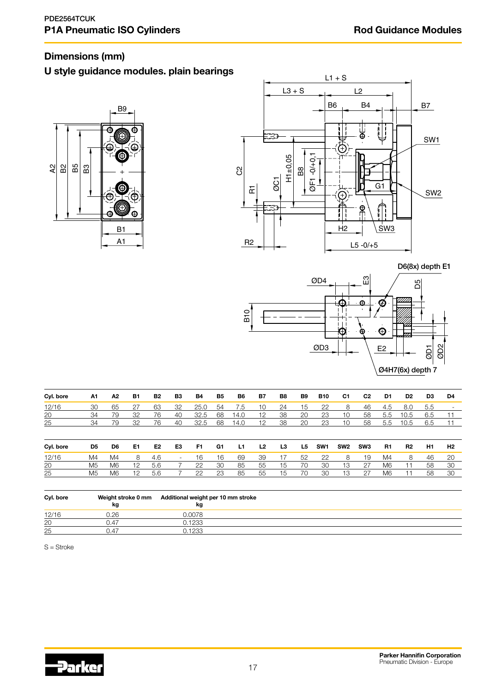## Dimensions (mm)

## U style guidance modules. plain bearings

![](_page_16_Figure_4.jpeg)

![](_page_16_Figure_5.jpeg)

D6(8x) depth E1

![](_page_16_Figure_7.jpeg)

| Cyl. bore | A1 | Α2             | <b>B1</b> | B2             | B3                       | <b>B4</b> | B5 | B6   | <b>B7</b>      | B8 | <b>B9</b> | <b>B10</b>      | C1              | C <sub>2</sub>  | D1  | D <sub>2</sub> | D3  | D4  |
|-----------|----|----------------|-----------|----------------|--------------------------|-----------|----|------|----------------|----|-----------|-----------------|-----------------|-----------------|-----|----------------|-----|-----|
| 12/16     | 30 | 65             | 27        | 63             | 32                       | 25.0      | 54 | 7.5  | 10             | 24 | 15        | 22              | 8               | 46              | 4.5 | 8.0            | 5.5 |     |
| 20        | 34 | 79             | 32        | 76             | 40                       | 32.5      | 68 | 14.0 | 12             | 38 | 20        | 23              | 10              | 58              | 5.5 | 10.5           | 6.5 |     |
| 25        | 34 | 79             | 32        | 76             | 40                       | 32.5      | 68 | 14.0 | 12             | 38 | 20        | 23              | 10              | 58              | 5.5 | 10.5           | 6.5 |     |
|           |    |                |           |                |                          |           |    |      |                |    |           |                 |                 |                 |     |                |     |     |
| Cyl. bore | D5 | D6             | E1        | E <sub>2</sub> | E3                       | F1        | G1 | L1   | L <sub>2</sub> | L3 | L5        | SW <sub>1</sub> | SW <sub>2</sub> | SW <sub>3</sub> | R1  | R <sub>2</sub> | H1  | H2  |
| 12/16     | M4 | M4             | 8         | 4.6            | $\overline{\phantom{a}}$ | 16        | 16 | 69   | 39             | 17 | 52        | 22              | 8               | 19              | M4  | 8              | 46  | -20 |
| 20        | M5 | M6             | 12        | 5.6            |                          | 22        | 30 | 85   | 55             | 15 | 70        | 30              | 13              | 27              | M6  | 11             | 58  | 30  |
| 25        | M5 | M <sub>6</sub> | 12        | 5.6            |                          | 22        | 23 | 85   | 55             | 15 | 70        | 30              | 13              | 27              | M6  |                | 58  | 30  |

| Cyl. bore | kg   | Weight stroke 0 mm Additional weight per 10 mm stroke<br>kg |  |
|-----------|------|-------------------------------------------------------------|--|
| 12/16     | J.26 | .0078                                                       |  |
| 20        | 0.47 | 0.1233                                                      |  |
| 25        | 0.47 | 0.1233                                                      |  |

S = Stroke

![](_page_16_Picture_11.jpeg)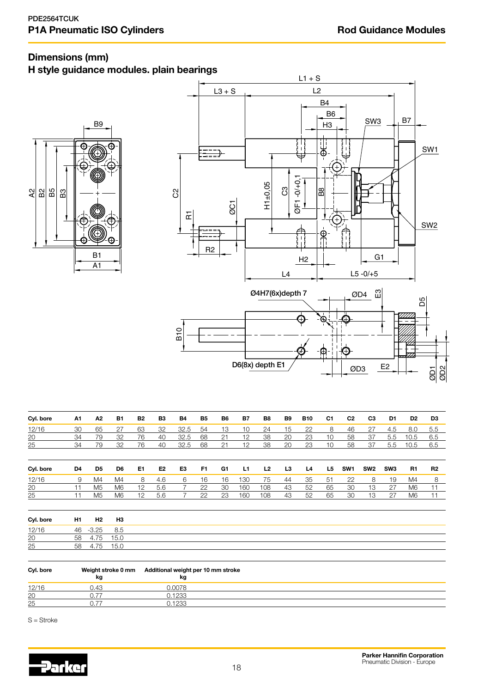## Dimensions (mm)

## H style guidance modules. plain bearings

![](_page_17_Figure_4.jpeg)

![](_page_17_Figure_5.jpeg)

| Cyl. bore       | A1 | A2.            | <b>B1</b>      | B2 | B3  | <b>B4</b> | <b>B5</b> | B6 | <b>B7</b> | B8  | B9 | <b>B10</b> | C1 | C <sub>2</sub>  | C3              | D1              | D <sub>2</sub> | D3             |
|-----------------|----|----------------|----------------|----|-----|-----------|-----------|----|-----------|-----|----|------------|----|-----------------|-----------------|-----------------|----------------|----------------|
| 12/16           | 30 | 65             | 27             | 63 | 32  | 32.5      | 54        | 13 | 10        | 24  | 15 | 22         | 8  | 46              | 27              | 4.5             | 8.0            | 5.5            |
| 20              | 34 | 79             | 32             | 76 | 40  | 32.5      | 68        | 21 | 12        | 38  | 20 | 23         | 10 | 58              | 37              | 5.5             | 10.5           | 6.5            |
| 25              | 34 | 79             | 32             | 76 | 40  | 32.5      | 68        | 21 | 12        | 38  | 20 | 23         | 10 | 58              | 37              | 5.5             | 10.5           | 6.5            |
|                 |    |                |                |    |     |           |           |    |           |     |    |            |    |                 |                 |                 |                |                |
| Cyl. bore       | D4 | D5             | D6             | E1 | E2  | E3        | F1        | G1 | L1        | L2  | L3 | L4         | L5 | SW <sub>1</sub> | SW <sub>2</sub> | SW <sub>3</sub> | R1             | R <sub>2</sub> |
| 12/16           | 9  | M <sub>4</sub> | M4             | 8  | 4.6 | 6         | 16        | 16 | 130       | 75  | 44 | 35         | 51 | 22              | 8               | 19              | M4             | 8              |
| $\overline{20}$ |    | M <sub>5</sub> | M <sub>6</sub> | 12 | 5.6 |           | 22        | 30 | 160       | 108 | 43 | 52         | 65 | 30              | 13              | 27              | M <sub>6</sub> | 11             |
| 25              |    | M <sub>5</sub> | M <sub>6</sub> | 12 | 5.6 |           | 22        | 23 | 160       | 108 | 43 | 52         | 65 | 30              | 13              | 27              | M <sub>6</sub> |                |

| Cyl. bore | H1 | H2      | H <sub>3</sub> |
|-----------|----|---------|----------------|
| 12/16     | 46 | $-3.25$ | 8.5            |
| 20        | 58 | 4.75    | 15.0           |
| 25        | 58 | .75     | 15.0           |

| Cyl. bore | kg  | Weight stroke 0 mm Additional weight per 10 mm stroke<br>kg |  |
|-----------|-----|-------------------------------------------------------------|--|
| 12/16     | 43. | 1.0078                                                      |  |
| 20        |     | 0.1233                                                      |  |
| 25        |     | 0.1233                                                      |  |

S = Stroke

![](_page_17_Picture_10.jpeg)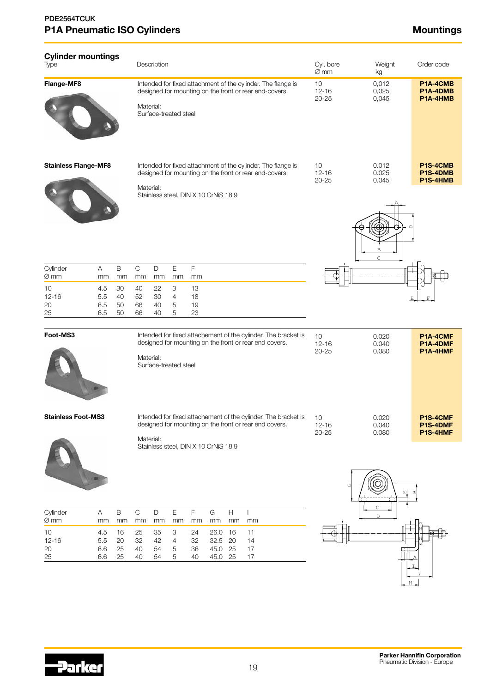| <b>Cylinder mountings</b><br>Type                                                           | Description                                                                                                                                                                                                            | Cyl. bore<br>$\varnothing$ mm | Weight<br>kg                   | Order code                       |
|---------------------------------------------------------------------------------------------|------------------------------------------------------------------------------------------------------------------------------------------------------------------------------------------------------------------------|-------------------------------|--------------------------------|----------------------------------|
| Flange-MF8                                                                                  | Intended for fixed attachment of the cylinder. The flange is<br>designed for mounting on the front or rear end-covers.<br>Material:<br>Surface-treated steel                                                           | 10<br>$12 - 16$<br>$20 - 25$  | 0,012<br>0,025<br>0,045        | P1A-4CMB<br>P1A-4DMB<br>P1A-4HMB |
| <b>Stainless Flange-MF8</b>                                                                 | Intended for fixed attachment of the cylinder. The flange is<br>designed for mounting on the front or rear end-covers.<br>Material:<br>Stainless steel, DIN X 10 CrNiS 189                                             | 10<br>$12 - 16$<br>$20 - 25$  | 0.012<br>0.025<br>0.045        | P1S-4CMB<br>P1S-4DMB<br>P1S-4HMB |
|                                                                                             |                                                                                                                                                                                                                        |                               | $\overline{B}$<br>$\mathsf{C}$ |                                  |
| $\mathsf B$<br>Cylinder<br>A<br>Ø mm<br>mm<br>mm                                            | $\mathsf F$<br>$\mathsf C$<br>$\mathsf E$<br>$\mathsf D$<br>mm<br>mm<br>mm<br>mm                                                                                                                                       |                               |                                |                                  |
| 10<br>4.5<br>30<br>$12 - 16$<br>5.5<br>40<br>20<br>6.5<br>50<br>25<br>6.5<br>50             | 3<br>40<br>22<br>13<br>52<br>30<br>$\overline{4}$<br>18<br>66<br>40<br>5<br>19<br>5<br>40<br>23<br>66                                                                                                                  |                               |                                |                                  |
| Foot-MS3                                                                                    | Intended for fixed attachement of the cylinder. The bracket is                                                                                                                                                         | 10                            | 0.020                          | P1A-4CMF                         |
|                                                                                             | designed for mounting on the front or rear end covers.<br>Material:<br>Surface-treated steel                                                                                                                           | $12 - 16$<br>$20 - 25$        | 0.040<br>0.080                 | P1A-4DMF<br>P1A-4HMF             |
| Stainless Foot-MS3                                                                          | Intended for fixed attachement of the cylinder. The bracket is<br>designed for mounting on the front or rear end covers.<br>Material:                                                                                  | 10<br>$12 - 16$<br>$20 - 25$  | 0.020<br>0.040<br>0.080        | P1S-4CMF<br>P1S-4DMF<br>P1S-4HMF |
|                                                                                             | Stainless steel, DIN X 10 CrNiS 189                                                                                                                                                                                    | U                             | 떼                              |                                  |
| Cylinder<br>$\mathsf A$<br>B<br>$Ø$ mm                                                      | $\mathsf D$<br>$\mathsf E$<br>G<br>$\mathsf C$<br>F<br>$\boldsymbol{\mathsf{H}}$                                                                                                                                       |                               | C<br>$\mathbb{D}$              |                                  |
| mm<br>mm<br>10<br>4.5<br>16<br>$12 - 16$<br>5.5<br>20<br>20<br>6.6<br>25<br>25<br>6.6<br>25 | mm<br>mm<br>mm<br>mm<br>mm<br>mm<br>mm<br>3<br>26.0 16<br>11<br>25<br>35<br>24<br>20<br>32<br>42<br>$\overline{4}$<br>32.5<br>14<br>32<br>45.0 25<br>40<br>54<br>5<br>36<br>17<br>45.0 25<br>17<br>54<br>5<br>40<br>40 |                               | ГJ                             |                                  |

H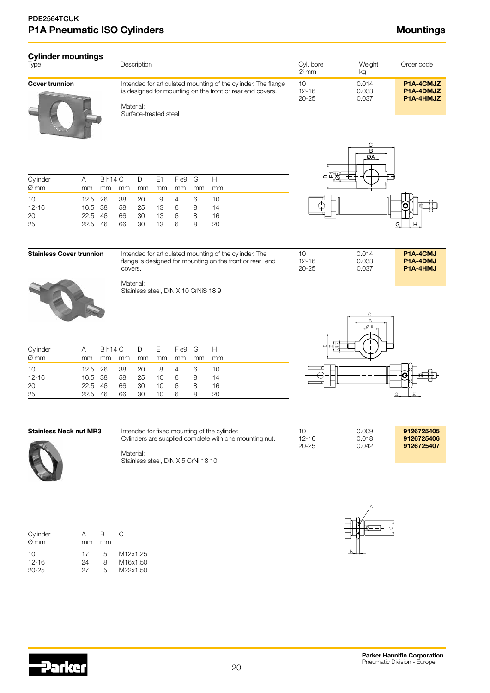| Cylinder mountings<br>Type | Description                                                                                                                | Cvl. bore<br>$\varnothing$ mm | Weight<br>kg   | Order code             |
|----------------------------|----------------------------------------------------------------------------------------------------------------------------|-------------------------------|----------------|------------------------|
| Cover trunnion             | Intended for articulated mounting of the cylinder. The flange<br>is designed for mounting on the front or rear end covers. | 10<br>$12 - 16$               | 0.014<br>0.033 | P1A-4CMJZ<br>P1A-4DMJZ |
|                            | Material:                                                                                                                  | $20 - 25$                     | 0.037          | P1A-4HMJZ              |

Surface-treated steel

| Cylinder  | Bh14 C D E1 Fe9 G H<br>A |         |    |    |        |    |    |     |
|-----------|--------------------------|---------|----|----|--------|----|----|-----|
| $Ø$ mm    | mm                       | mm      | mm | mm | mm     | mm | mm | mm  |
| 10        | 12.5 26                  |         | 38 |    | 20 9 4 |    | 6  | 10  |
| $12 - 16$ |                          | 16.5 38 | 58 | 25 | 13 6   |    | 8  | -14 |
| 20        | 22.5 46                  |         | 66 | 30 | -13    | 6  | 8  | -16 |
| 25        | 22.5 46                  |         | 66 | 30 | 13.    | 6  | 8  | 20  |

![](_page_19_Figure_5.jpeg)

| <b>Stainless Cover trunnion</b> | Intended for articulated mounting of the cylinder. The   | 10        | 0.014 | P <sub>1</sub> A-4CMJ |
|---------------------------------|----------------------------------------------------------|-----------|-------|-----------------------|
|                                 | flange is designed for mounting on the front or rear end | $12 - 16$ | 0.033 | P <sub>1</sub> A-4DMJ |
|                                 | covers.                                                  | $20 - 25$ | 0.037 | P <sub>1</sub> A-4HMJ |
| $\sim$ $\sim$                   | Material:                                                |           |       |                       |

![](_page_19_Picture_7.jpeg)

| covers.                                           |  |
|---------------------------------------------------|--|
| Material:<br>Stainless steel, DIN X 10 CrNiS 18 9 |  |

| Cylinder  | A         |    |    |           | Bh14 C D E Fe9 G H |    |    |    |
|-----------|-----------|----|----|-----------|--------------------|----|----|----|
| $Ø$ mm    | mm.       | mm | mm | mm        | mm                 | mm | mm | mm |
| 10        | 12.5 26   |    |    | 38 20 8 4 |                    |    | 6  | 10 |
| $12 - 16$ | 16.5 38   |    | 58 | 25        | $10 -$             | -6 | 8  | 14 |
| 20        | $22.5$ 46 |    | 66 | 30        | $10^{-}$           | -6 | 8  | 16 |
| 25        | 22.5 46   |    | 66 | 30        | 10                 | -6 | 8  | 20 |

![](_page_19_Figure_10.jpeg)

| Stainless Neck nut MR3 | Intended for fixed mounting of the cylinder.           |           | 0.009 | 9126725405 |
|------------------------|--------------------------------------------------------|-----------|-------|------------|
|                        | Cylinders are supplied complete with one mounting nut. | $12 - 16$ | 0.018 | 9126725406 |
|                        |                                                        | $20 - 25$ | 0.042 | 9126725407 |
|                        | Material:                                              |           |       |            |
| A                      | Stainless steel. DIN X 5 CrNi 18 10                    |           |       |            |

Cylinder A B C Ø mm mm mm

10 17 5 M12x1.25<br>12-16 24 8 M16x1.50

20-25 27 5 M22x1.50

M16x1.50

| Stainless steel, DIN X 5 CrNi 18 10 |  |
|-------------------------------------|--|
|                                     |  |

![](_page_19_Figure_14.jpeg)

![](_page_19_Picture_15.jpeg)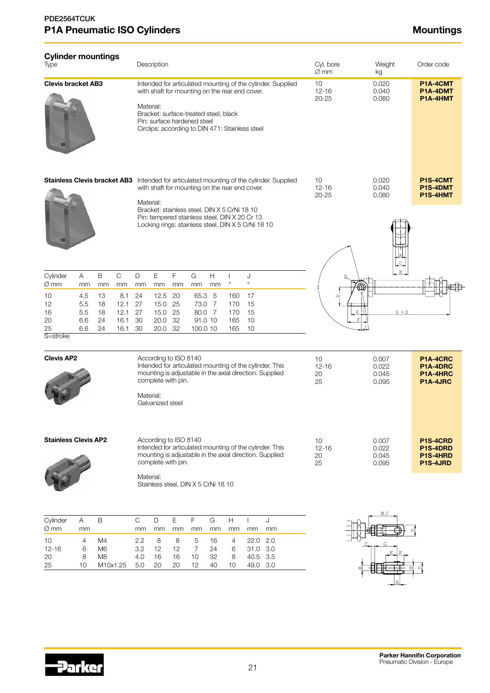| <b>Cylinder mountings</b><br>Type                          |                                                                                                                                                                                                                                                                                 |                                       |                                                          |                                                                                                                                                                                                                                                       | Description                                                                                                                                                      |                                       |                               |                                        |                                            |                                            |                                                                                                                    | Cyl. bore<br>$\varnothing$ mm |   | Weight<br>kg                     | Order code                                   |
|------------------------------------------------------------|---------------------------------------------------------------------------------------------------------------------------------------------------------------------------------------------------------------------------------------------------------------------------------|---------------------------------------|----------------------------------------------------------|-------------------------------------------------------------------------------------------------------------------------------------------------------------------------------------------------------------------------------------------------------|------------------------------------------------------------------------------------------------------------------------------------------------------------------|---------------------------------------|-------------------------------|----------------------------------------|--------------------------------------------|--------------------------------------------|--------------------------------------------------------------------------------------------------------------------|-------------------------------|---|----------------------------------|----------------------------------------------|
| <b>Clevis bracket AB3</b>                                  |                                                                                                                                                                                                                                                                                 |                                       |                                                          | Intended for articulated mounting of the cylinder. Supplied<br>with shaft for mounting on the rear end cover.<br>Material:<br>Bracket: surface-treated steel, black<br>Pin: surface hardened steel<br>Circlips: according to DIN 471: Stainless steel |                                                                                                                                                                  |                                       |                               |                                        |                                            |                                            |                                                                                                                    | 10<br>$12 - 16$<br>$20 - 25$  |   | 0.020<br>0.040<br>0.080          | P1A-4CMT<br>P1A-4DMT<br>P1A-4HMT             |
| <b>Stainless Clevis bracket AB3</b>                        |                                                                                                                                                                                                                                                                                 |                                       |                                                          | Material:                                                                                                                                                                                                                                             | with shaft for mounting on the rear end cover.<br>Bracket: stainless steel, DIN X 5 CrNi 18 10                                                                   |                                       |                               |                                        |                                            |                                            | Intended for articulated mounting of the cylinder. Supplied                                                        | 10<br>$12 - 16$<br>$20 - 25$  |   | 0.020<br>0.040<br>0.080          | P1S-4CMT<br>P1S-4DMT<br>P1S-4HMT             |
| Cylinder<br>Ø mm<br>10<br>12<br>16<br>20<br>25<br>S=stroke | Α<br>mm<br>4.5<br>5.5<br>5.5<br>6.6<br>6.6                                                                                                                                                                                                                                      | B<br>mm<br>13<br>18<br>18<br>24<br>24 | $\mathbf C$<br>mm<br>8.1<br>12.1<br>12.1<br>16.1<br>16.1 | $\mathsf D$<br>mm<br>24<br>27<br>27<br>30<br>30                                                                                                                                                                                                       | Pin: tempered stainless steel, DIN X 20 Cr 13<br>Locking rings: stainless steel, DIN X 5 CrNi 18 10<br>$\mathsf E$<br>mm<br>12.5<br>15.0<br>15.0<br>20.0<br>20.0 | F<br>mm<br>20<br>25<br>25<br>32<br>32 | G<br>mm<br>65.3 5<br>100.0 10 | Н<br>mm<br>73.0 7<br>80.0 7<br>91.0 10 | $\circ$<br>160<br>170<br>170<br>165<br>165 | J<br>$\circ$<br>17<br>15<br>15<br>10<br>10 |                                                                                                                    | $\Box$                        | F | $G + S$                          |                                              |
| <b>Clevis AP2</b>                                          |                                                                                                                                                                                                                                                                                 |                                       |                                                          | Material:                                                                                                                                                                                                                                             | According to ISO 8140<br>complete with pin.<br>Galvanized steel                                                                                                  |                                       |                               |                                        |                                            |                                            | Intended for articulated mounting of the cylinder. This<br>mounting is adjustable in the axial direction. Supplied | 10<br>$12 - 16$<br>20<br>25   |   | 0.007<br>0.022<br>0.045<br>0.095 | P1A-4CRC<br>P1A-4DRC<br>P1A-4HRC<br>P1A-4JRC |
| <b>Stainless Clevis AP2</b>                                |                                                                                                                                                                                                                                                                                 |                                       |                                                          | According to ISO 8140<br>Intended for articulated mounting of the cylinder. This<br>mounting is adjustable in the axial direction. Supplied<br>complete with pin.<br>Material:<br>Stainless steel, DIN X 5 CrNi 18 10                                 |                                                                                                                                                                  |                                       |                               |                                        |                                            |                                            |                                                                                                                    | 10<br>$12 - 16$<br>20<br>25   |   | 0.007<br>0.022<br>0.045<br>0.095 | P1S-4CRD<br>P1S-4DRD<br>P1S-4HRD<br>P1S-4JRD |
| Cylinder<br>Ø mm<br>10<br>$12 - 16$<br>20                  | Ε<br>F<br>$\mathsf C$<br>$\mathsf D$<br>G<br>H<br>$\mathbf{I}$<br>J<br>mm<br>mm<br>mm<br>mm<br>mm<br>mm<br>mm<br>mm<br>2.2<br>8<br>8<br>5<br>16<br>22.0<br>2.0<br>4<br>$\overline{7}$<br>3.2<br>12<br>12<br>24<br>6<br>31.0 3.0<br>10<br>32<br>40.5 3.5<br>4.0<br>16<br>16<br>8 |                                       |                                                          |                                                                                                                                                                                                                                                       |                                                                                                                                                                  |                                       |                               |                                        |                                            |                                            |                                                                                                                    |                               |   |                                  |                                              |

![](_page_20_Picture_3.jpeg)

25 10 M10x1.25 5.0 20 20 12 40 10 49.0 3.0

A.

A

 $\mathfrak a$ 

韭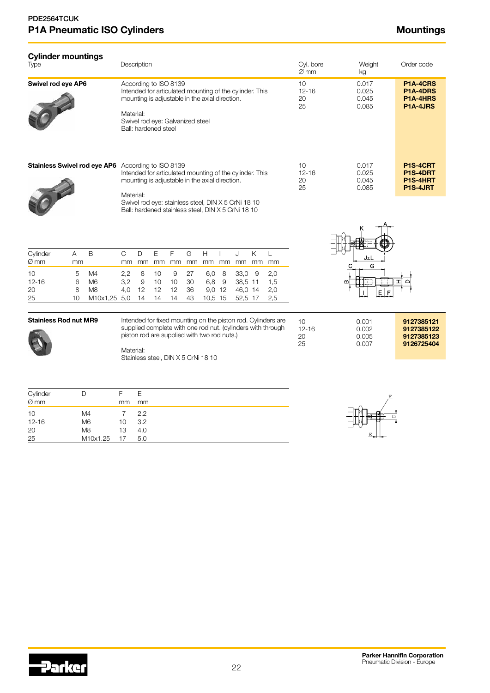| <b>Cylinder mountings</b><br><b>Type</b>        |                              |                                                                | Description                                                                                                                                                                                            |                                         |                                 |                                                                                    |                                                                                                                                               | Cyl. bore<br>$\varnothing$ mm            |                                                   | Weight<br>kg                     | Order code                                                                                                                  |                                     |                             |                                  |                                                      |                                              |
|-------------------------------------------------|------------------------------|----------------------------------------------------------------|--------------------------------------------------------------------------------------------------------------------------------------------------------------------------------------------------------|-----------------------------------------|---------------------------------|------------------------------------------------------------------------------------|-----------------------------------------------------------------------------------------------------------------------------------------------|------------------------------------------|---------------------------------------------------|----------------------------------|-----------------------------------------------------------------------------------------------------------------------------|-------------------------------------|-----------------------------|----------------------------------|------------------------------------------------------|----------------------------------------------|
| Swivel rod eye AP6                              |                              |                                                                | Material:                                                                                                                                                                                              | Ball: hardened steel                    |                                 | According to ISO 8139                                                              | Intended for articulated mounting of the cylinder. This<br>mounting is adjustable in the axial direction.<br>Swivel rod eye: Galvanized steel |                                          |                                                   |                                  |                                                                                                                             |                                     | 10<br>$12 - 16$<br>20<br>25 |                                  | 0.017<br>0.025<br>0.045<br>0.085                     | P1A-4CRS<br>P1A-4DRS<br>P1A-4HRS<br>P1A-4JRS |
| <b>Stainless Swivel rod eye AP6</b>             |                              |                                                                | According to ISO 8139<br>Intended for articulated mounting of the cylinder. This<br>mounting is adjustable in the axial direction.<br>Material:<br>Swivel rod eye: stainless steel, DIN X 5 CrNi 18 10 |                                         |                                 |                                                                                    |                                                                                                                                               | 10 <sup>1</sup><br>$12 - 16$<br>20<br>25 |                                                   | 0.017<br>0.025<br>0.045<br>0.085 | P1S-4CRT<br>P1S-4DRT<br>P1S-4HRT<br>P1S-4JRT                                                                                |                                     |                             |                                  |                                                      |                                              |
| Cylinder<br>Ø mm<br>10<br>$12 - 16$<br>20<br>25 | A<br>mm<br>5<br>6<br>8<br>10 | B<br>M4<br>M <sub>6</sub><br>M <sub>8</sub><br>M10x1,25 5,0    | $\mathsf{C}$<br>mm<br>2,2<br>3,2<br>4,0                                                                                                                                                                | D<br>mm<br>8<br>$\mathsf 9$<br>12<br>14 | E<br>mm<br>10<br>10<br>12<br>14 | F<br>mm<br>9<br>10<br>12<br>14                                                     | Ball: hardened stainless steel, DIN X 5 CrNi 18 10<br>G<br>mm<br>27<br>30<br>36<br>43                                                         | H<br>mm<br>6,0<br>6,8                    | $\mathbf{I}$<br>mm<br>8<br>9<br>9,0 12<br>10,5 15 | J                                | Κ<br>mm mm<br>33,0 9<br>38,5 11<br>46,0 14<br>52,5 17                                                                       | L<br>mm<br>2,0<br>1,5<br>2,0<br>2,5 |                             | С                                | J±L<br>G<br>E                                        |                                              |
| <b>Stainless Rod nut MR9</b>                    |                              | Material:                                                      |                                                                                                                                                                                                        |                                         |                                 | piston rod are supplied with two rod nuts.)<br>Stainless steel, DIN X 5 CrNi 18 10 |                                                                                                                                               |                                          |                                                   |                                  | Intended for fixed mounting on the piston rod. Cylinders are<br>supplied complete with one rod nut. (cylinders with through | 10<br>$12 - 16$<br>20<br>25         |                             | 0.001<br>0.002<br>0.005<br>0.007 | 9127385121<br>9127385122<br>9127385123<br>9126725404 |                                              |
| Cylinder<br>Ø mm<br>10<br>$12 - 16$<br>20<br>25 | D                            | M <sub>4</sub><br>M <sub>6</sub><br>M <sub>8</sub><br>M10x1.25 | F<br>mm<br>$\overline{7}$<br>10<br>13<br>17                                                                                                                                                            | E<br>mm<br>2.2<br>3.2<br>4.0<br>5.0     |                                 |                                                                                    |                                                                                                                                               |                                          |                                                   |                                  |                                                                                                                             |                                     |                             |                                  |                                                      |                                              |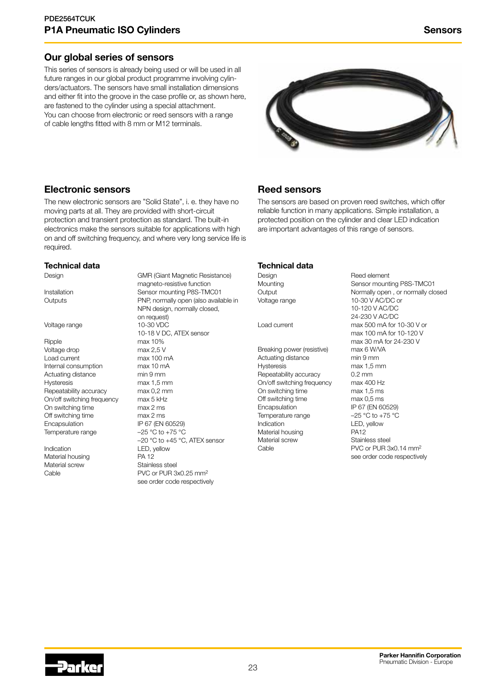## Our global series of sensors

This series of sensors is already being used or will be used in all future ranges in our global product programme involving cylinders/actuators. The sensors have small installation dimensions and either fit into the groove in the case profile or, as shown here, are fastened to the cylinder using a special attachment. You can choose from electronic or reed sensors with a range of cable lengths fitted with 8 mm or M12 terminals.

![](_page_22_Picture_3.jpeg)

## Electronic sensors

The new electronic sensors are "Solid State", i. e. they have no moving parts at all. They are provided with short-circuit protection and transient protection as standard. The built-in electronics make the sensors suitable for applications with high on and off switching frequency, and where very long service life is required.

#### Technical data

Design GMR (Giant Magnetic Resistance)

#### Voltage range 10-30 VDC

Ripple max 10% Voltage drop max 2,5 V Load current max 100 mA<br>Internal consumption max 10 mA Internal consumption Actuating distance min 9 mm Hysteresis max 1,5 mm<br>Repeatability accuracy max 0.2 mm Repeatability accuracy On/off switching frequency max 5 kHz On switching time max 2 ms Off switching time max 2 ms Encapsulation IP 67 (EN 60529) Temperature range  $-25 \degree C$  to +75  $\degree C$ 

Indication LED, yellow Material housing The PA 12<br>
Material screw Stainless steel Material screw

magneto-resistive function Installation Sensor mounting P8S-TMC01 Outputs PNP, normally open (also available in NPN design, normally closed, on request) 10-18 V DC, ATEX sensor –20 °C to +45 °C, ATEX sensor Cable **PVC** or PUR 3x0.25 mm<sup>2</sup> see order code respectively

## Reed sensors

The sensors are based on proven reed switches, which offer reliable function in many applications. Simple installation, a protected position on the cylinder and clear LED indication are important advantages of this range of sensors.

#### Technical data

Breaking power (resistive) Actuating distance min 9 mm Hysteresis max 1,5 mm<br>Repeatability accuracy 0.2 mm Repeatability accuracy 0.2 mm<br>On/off switching frequency max 400 Hz On/off switching frequency On switching time max 1,5 ms Off switching time max 0,5 ms Encapsulation IP 67 (EN 60529) Temperature range  $-25 \degree C$  to +75  $\degree C$ Indication LED, yellow Material housing **PA12** Material screw Stainless steel Cable **PVC** or PUR 3x0.14 mm<sup>2</sup>

Design **Reed element** Mounting Mounting **Mounting** Mounting **Mounting**  $\sim$  Sensor mounting P8S-TMC01 Output **Normally open** , or normally closed Voltage range 10-30 V AC/DC or 10-120 V AC/DC 24-230 V AC/DC Load current max 500 mA for 10-30 V or max 100 mA for 10-120 V max 30 mA for 24-230 V<br>max 6 W/VA see order code respectively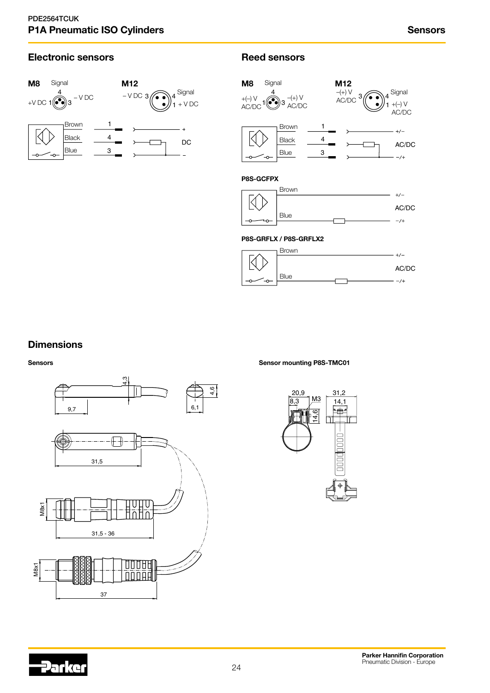## Electronic sensors **Reed sensors**

![](_page_23_Figure_3.jpeg)

![](_page_23_Figure_5.jpeg)

#### P8S-GRFLX / P8S-GRFLX2

![](_page_23_Figure_7.jpeg)

## **Dimensions**

Sensors

![](_page_23_Figure_10.jpeg)

Sensor mounting P8S-TMC01

![](_page_23_Figure_12.jpeg)

![](_page_23_Picture_13.jpeg)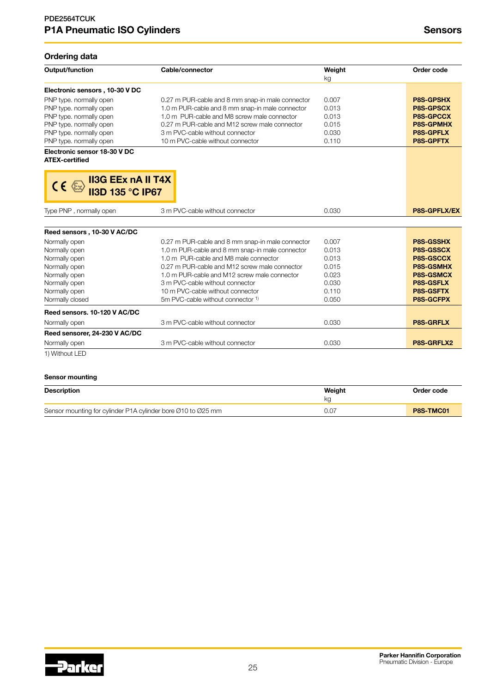## Ordering data

| Output/function                                                                                        | Cable/connector                                  | Weight<br>kg | Order code          |
|--------------------------------------------------------------------------------------------------------|--------------------------------------------------|--------------|---------------------|
| Electronic sensors, 10-30 V DC                                                                         |                                                  |              |                     |
| PNP type. normally open                                                                                | 0.27 m PUR-cable and 8 mm snap-in male connector | 0.007        | <b>P8S-GPSHX</b>    |
| PNP type. normally open                                                                                | 1.0 m PUR-cable and 8 mm snap-in male connector  | 0.013        | <b>P8S-GPSCX</b>    |
| PNP type. normally open                                                                                | 1.0 m PUR-cable and M8 screw male connector      | 0.013        | <b>P8S-GPCCX</b>    |
| PNP type. normally open                                                                                | 0.27 m PUR-cable and M12 screw male connector    | 0.015        | <b>P8S-GPMHX</b>    |
| PNP type. normally open                                                                                | 3 m PVC-cable without connector                  | 0.030        | <b>P8S-GPFLX</b>    |
| PNP type. normally open                                                                                | 10 m PVC-cable without connector                 | 0.110        | <b>P8S-GPFTX</b>    |
| Electronic sensor 18-30 V DC<br><b>ATEX-certified</b><br><b>II3G EEx nA II T4X</b><br>$CE \rightarrow$ |                                                  |              |                     |
| <b>II3D 135 °C IP67</b><br>Type PNP, normally open                                                     | 3 m PVC-cable without connector                  | 0.030        | <b>P8S-GPFLX/EX</b> |
| Reed sensors, 10-30 V AC/DC                                                                            |                                                  |              |                     |
| Normally open                                                                                          | 0.27 m PUR-cable and 8 mm snap-in male connector | 0.007        | <b>P8S-GSSHX</b>    |
| Normally open                                                                                          | 1.0 m PUR-cable and 8 mm snap-in male connector  | 0.013        | P8S-GSSCX           |
| Normally open                                                                                          | 1.0 m PUR-cable and M8 male connector            | 0.013        | <b>P8S-GSCCX</b>    |
| Normally open                                                                                          | 0.27 m PUR-cable and M12 screw male connector    | 0.015        | <b>P8S-GSMHX</b>    |
| Normally open                                                                                          | 1.0 m PUR-cable and M12 screw male connector     | 0.023        | <b>P8S-GSMCX</b>    |
| Normally open                                                                                          | 3 m PVC-cable without connector                  | 0.030        | <b>P8S-GSFLX</b>    |
| Normally open                                                                                          | 10 m PVC-cable without connector                 | 0.110        | <b>P8S-GSFTX</b>    |
| Normally closed                                                                                        | 5m PVC-cable without connector <sup>1)</sup>     | 0.050        | P8S-GCFPX           |
| Reed sensors, 10-120 V AC/DC                                                                           |                                                  |              |                     |
| Normally open                                                                                          | 3 m PVC-cable without connector                  | 0.030        | <b>P8S-GRFLX</b>    |
| Reed sensorer, 24-230 V AC/DC                                                                          |                                                  |              |                     |
| Normally open                                                                                          | 3 m PVC-cable without connector                  | 0.030        | P8S-GRFLX2          |
| 1) Without LED                                                                                         |                                                  |              |                     |

### Sensor mounting

| <b>Description</b>                                           | Weiaht<br>ko | Order code |
|--------------------------------------------------------------|--------------|------------|
| Sensor mounting for cylinder P1A cylinder bore 010 to 025 mm | 0.07         | P8S-TMC01  |

![](_page_24_Picture_6.jpeg)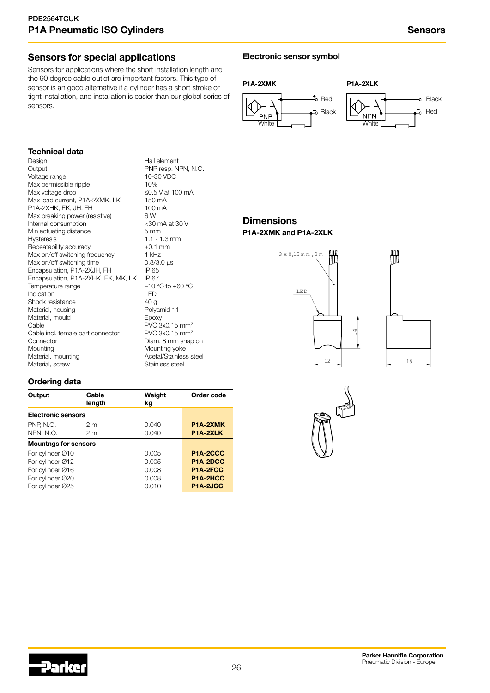## Sensors for special applications

Sensors for applications where the short installation length and the 90 degree cable outlet are important factors. This type of sensor is an good alternative if a cylinder has a short stroke or tight installation, and installation is easier than our global series of sensors.

## Electronic sensor symbol

![](_page_25_Figure_5.jpeg)

## Technical data

Design External Extended Hall element<br>
Dutput PNP resp. N Voltage range<br>
Max permissible ripple<br>
10% Max permissible ripple  $10\%$ <br>
Max voltage drop  $\leq 0.5$  V at 100 mA Max voltage drop Max load current, P1A-2XMK, LK 150 mA<br>P1A-2XHK, EK, JH, FH 100 mA P1A-2XHK, EK, JH, FH 100<br>Max breaking power (resistive) 6 W Max breaking power (resistive) 6 W<br>Internal consumption <30 mA at 30 V Internal consumption  $\leq 30 \text{ m}$ <br>Min actuating distance 5 mm Min actuating distance Hysteresis 1.1 - 1.3 mm<br>
Repeatability accuracy  $\pm 0.1$  mm Repeatability accuracy  $\pm 0.1 \text{ m}$ <br>Max on/off switching frequency  $\pm 1 \text{ kHz}$ Max on/off switching frequency Max on/off switching time 0.8/3.0 μs<br>
Encapsulation, P1A-2XJH, FH IP 65 Encapsulation, P1A-2XJH, FH IP 65<br>Encapsulation, P1A-2XHK, EK, MK, LK IP 67 Encapsulation, P1A-2XHK, EK, MK, LK IP 67<br>Temperature range  $-10^{\circ}$ C to +60 °C Temperature range –10<br>Indication – LED Indication Shock resistance<br>
Material, housing<br>
Material, housing<br>
Material, housing<br>
Material, housing<br>
Material, housing<br>
Material, housing Material, housing Material, mould Epoxy Cable<br>Cable incl. female part connector PVC 3x0.15 mm<sup>2</sup> Cable incl. female part connector Connector Connector Diam. 8 mm snap on<br>
Mounting<br>
Mounting yoke Mounting yoke<br>
Material, mounting values<br>
Acetal/Stainles: Material, screw **Stainless** steel

PNP resp. NPN, N.O.<br>10-30 VDC Acetal/Stainless steel

## **Dimensions** P1A-2XMK and P1A-2XLK

![](_page_25_Figure_10.jpeg)

![](_page_25_Figure_11.jpeg)

## Ordering data

| Output                      | Cable<br>length | Weight<br>kg | Order code            |
|-----------------------------|-----------------|--------------|-----------------------|
| <b>Electronic sensors</b>   |                 |              |                       |
| <b>PNP, N.O.</b>            | 2 <sub>m</sub>  | 0.040        | P <sub>1</sub> A-2XMK |
| NPN, N.O.                   | 2 <sub>m</sub>  | 0.040        | P1A-2XLK              |
| <b>Mountngs for sensors</b> |                 |              |                       |
| For cylinder Ø10            |                 | 0.005        | P <sub>1</sub> A-2CCC |
| For cylinder Ø12            |                 | 0.005        | P1A-2DCC              |
| For cylinder Ø16            |                 | 0.008        | P1A-2FCC              |
| For cylinder Ø20            |                 | 0.008        | P <sub>1</sub> A-2HCC |
| For cylinder Ø25            |                 | 0.010        | P1A-2JCC              |

![](_page_25_Figure_14.jpeg)

![](_page_25_Picture_15.jpeg)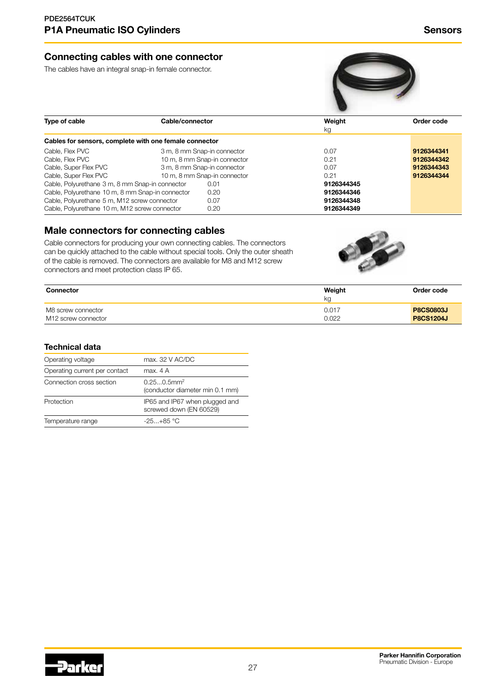## Connecting cables with one connector

The cables have an integral snap-in female connector.

![](_page_26_Picture_3.jpeg)

| Type of cable                                          | Cable/connector              | Weight<br>kg | Order code |
|--------------------------------------------------------|------------------------------|--------------|------------|
| Cables for sensors, complete with one female connector |                              |              |            |
| Cable, Flex PVC                                        | 3 m, 8 mm Snap-in connector  | 0.07         | 9126344341 |
| Cable, Flex PVC                                        | 10 m, 8 mm Snap-in connector | 0.21         | 9126344342 |
| Cable, Super Flex PVC                                  | 3 m, 8 mm Snap-in connector  | 0.07         | 9126344343 |
| Cable, Super Flex PVC                                  | 10 m, 8 mm Snap-in connector | 0.21         | 9126344344 |
| Cable, Polyurethane 3 m, 8 mm Snap-in connector        | 0.01                         | 9126344345   |            |
| Cable, Polyurethane 10 m, 8 mm Snap-in connector       | 0.20                         | 9126344346   |            |
| Cable, Polyurethane 5 m, M12 screw connector           | 0.07                         | 9126344348   |            |
| Cable, Polyurethane 10 m, M12 screw connector          | 0.20                         | 9126344349   |            |

## Male connectors for connecting cables

Cable connectors for producing your own connecting cables. The connectors can be quickly attached to the cable without special tools. Only the outer sheath of the cable is removed. The connectors are available for M8 and M12 screw connectors and meet protection class IP 65.

![](_page_26_Picture_7.jpeg)

| <b>Connector</b>    | Weight<br>ka | Order code       |
|---------------------|--------------|------------------|
| M8 screw connector  | 0.017        | <b>P8CS0803J</b> |
| M12 screw connector | 0.022        | <b>P8CS1204J</b> |

## Technical data

| Operating voltage             | max. 32 V AC/DC                                              |
|-------------------------------|--------------------------------------------------------------|
| Operating current per contact | max. 4 A                                                     |
| Connection cross section      | $0.250.5$ mm <sup>2</sup><br>(conductor diameter min 0.1 mm) |
| Protection                    | IP65 and IP67 when plugged and<br>screwed down (EN 60529)    |
| Temperature range             | $-25. + 85$ °C                                               |
|                               |                                                              |

![](_page_26_Picture_11.jpeg)